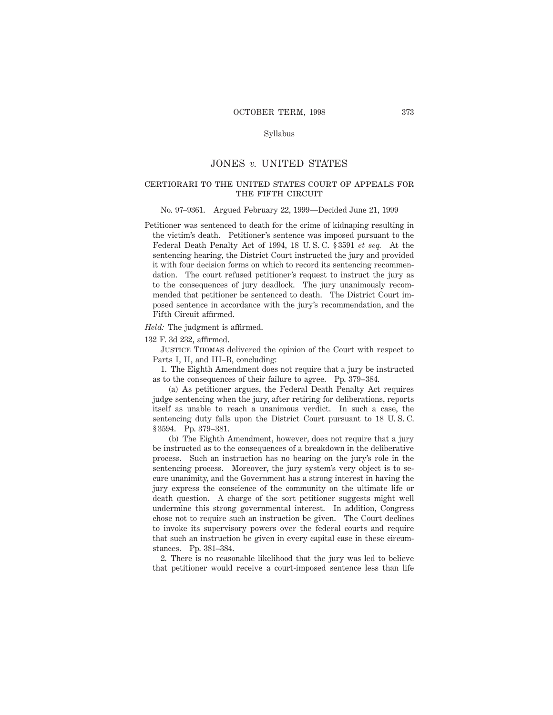### Syllabus

# JONES *v.* UNITED STATES

### certiorari to the united states court of appeals forTHE FIFTH CIRCUIT

#### No. 97–9361. Argued February 22, 1999—Decided June 21, 1999

Petitioner was sentenced to death for the crime of kidnaping resulting in the victim's death. Petitioner's sentence was imposed pursuant to the Federal Death Penalty Act of 1994, 18 U. S. C. § 3591 *et seq.* At the sentencing hearing, the District Court instructed the jury and provided it with four decision forms on which to record its sentencing recommendation. The court refused petitioner's request to instruct the jury as to the consequences of jury deadlock. The jury unanimously recommended that petitioner be sentenced to death. The District Court imposed sentence in accordance with the jury's recommendation, and the Fifth Circuit affirmed.

*Held:* The judgment is affirmed.

132 F. 3d 232, affirmed.

Justice Thomas delivered the opinion of the Court with respect to Parts I, II, and III–B, concluding:

1. The Eighth Amendment does not require that a jury be instructed as to the consequences of their failure to agree. Pp. 379–384.

(a) As petitioner argues, the Federal Death Penalty Act requires judge sentencing when the jury, after retiring for deliberations, reports itself as unable to reach a unanimous verdict. In such a case, the sentencing duty falls upon the District Court pursuant to 18 U. S. C. § 3594. Pp. 379–381.

(b) The Eighth Amendment, however, does not require that a jury be instructed as to the consequences of a breakdown in the deliberative process. Such an instruction has no bearing on the jury's role in the sentencing process. Moreover, the jury system's very object is to secure unanimity, and the Government has a strong interest in having the jury express the conscience of the community on the ultimate life or death question. A charge of the sort petitioner suggests might well undermine this strong governmental interest. In addition, Congress chose not to require such an instruction be given. The Court declines to invoke its supervisory powers over the federal courts and require that such an instruction be given in every capital case in these circumstances. Pp. 381–384.

2. There is no reasonable likelihood that the jury was led to believe that petitioner would receive a court-imposed sentence less than life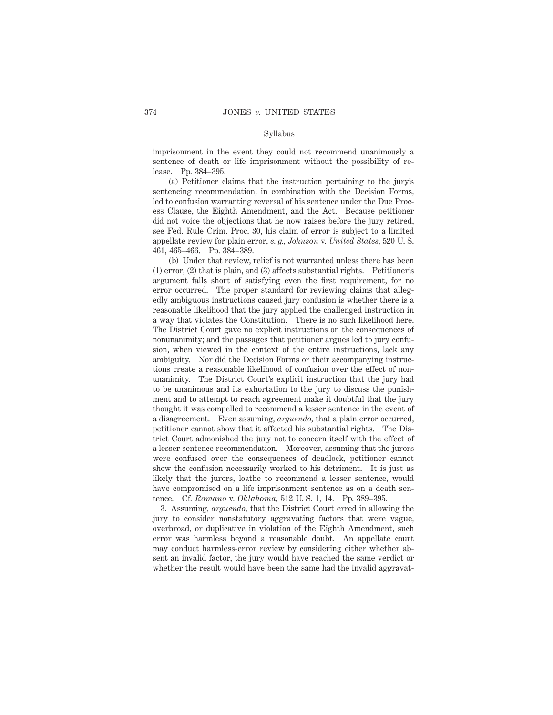#### Syllabus

imprisonment in the event they could not recommend unanimously a sentence of death or life imprisonment without the possibility of release. Pp. 384–395.

(a) Petitioner claims that the instruction pertaining to the jury's sentencing recommendation, in combination with the Decision Forms, led to confusion warranting reversal of his sentence under the Due Process Clause, the Eighth Amendment, and the Act. Because petitioner did not voice the objections that he now raises before the jury retired, see Fed. Rule Crim. Proc. 30, his claim of error is subject to a limited appellate review for plain error, *e. g., Johnson* v. *United States,* 520 U. S. 461, 465–466. Pp. 384–389.

(b) Under that review, relief is not warranted unless there has been (1) error, (2) that is plain, and (3) affects substantial rights. Petitioner's argument falls short of satisfying even the first requirement, for no error occurred. The proper standard for reviewing claims that allegedly ambiguous instructions caused jury confusion is whether there is a reasonable likelihood that the jury applied the challenged instruction in a way that violates the Constitution. There is no such likelihood here. The District Court gave no explicit instructions on the consequences of nonunanimity; and the passages that petitioner argues led to jury confusion, when viewed in the context of the entire instructions, lack any ambiguity. Nor did the Decision Forms or their accompanying instructions create a reasonable likelihood of confusion over the effect of nonunanimity. The District Court's explicit instruction that the jury had to be unanimous and its exhortation to the jury to discuss the punishment and to attempt to reach agreement make it doubtful that the jury thought it was compelled to recommend a lesser sentence in the event of a disagreement. Even assuming, *arguendo,* that a plain error occurred, petitioner cannot show that it affected his substantial rights. The District Court admonished the jury not to concern itself with the effect of a lesser sentence recommendation. Moreover, assuming that the jurors were confused over the consequences of deadlock, petitioner cannot show the confusion necessarily worked to his detriment. It is just as likely that the jurors, loathe to recommend a lesser sentence, would have compromised on a life imprisonment sentence as on a death sentence. Cf. *Romano* v. *Oklahoma,* 512 U. S. 1, 14. Pp. 389–395.

3. Assuming, *arguendo,* that the District Court erred in allowing the jury to consider nonstatutory aggravating factors that were vague, overbroad, or duplicative in violation of the Eighth Amendment, such error was harmless beyond a reasonable doubt. An appellate court may conduct harmless-error review by considering either whether absent an invalid factor, the jury would have reached the same verdict or whether the result would have been the same had the invalid aggravat-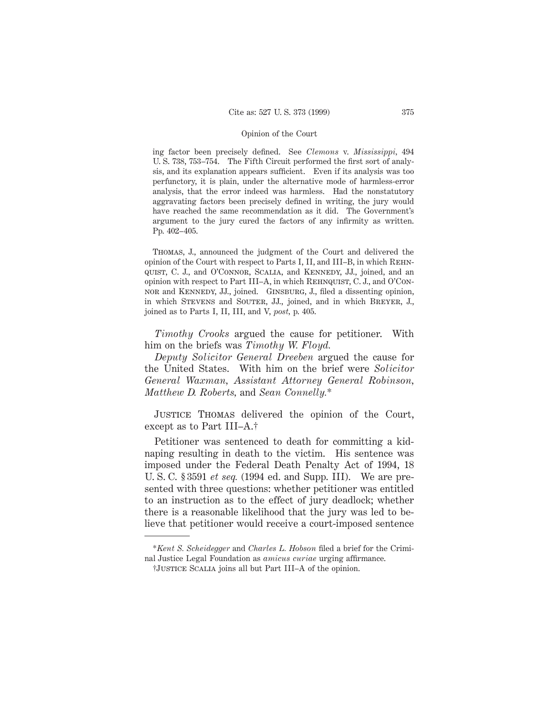ing factor been precisely defined. See *Clemons* v. *Mississippi,* 494 U. S. 738, 753–754. The Fifth Circuit performed the first sort of analysis, and its explanation appears sufficient. Even if its analysis was too perfunctory, it is plain, under the alternative mode of harmless-error analysis, that the error indeed was harmless. Had the nonstatutory aggravating factors been precisely defined in writing, the jury would have reached the same recommendation as it did. The Government's argument to the jury cured the factors of any infirmity as written. Pp. 402–405.

Thomas, J., announced the judgment of the Court and delivered the opinion of the Court with respect to Parts I, II, and III–B, in which Rehnquist, C. J., and O'Connor, Scalia, and Kennedy, JJ., joined, and an opinion with respect to Part III–A, in which REHNQUIST, C. J., and O'Connor and Kennedy, JJ., joined. Ginsburg, J., filed a dissenting opinion, in which STEVENS and SOUTER, JJ., joined, and in which BREYER, J., joined as to Parts I, II, III, and V, *post,* p. 405.

*Timothy Crooks* argued the cause for petitioner. With him on the briefs was *Timothy W. Floyd.*

*Deputy Solicitor General Dreeben* argued the cause for the United States. With him on the brief were *Solicitor General Waxman, Assistant Attorney General Robinson, Matthew D. Roberts,* and *Sean Connelly.*\*

Justice Thomas delivered the opinion of the Court, except as to Part III–A.†

Petitioner was sentenced to death for committing a kidnaping resulting in death to the victim. His sentence was imposed under the Federal Death Penalty Act of 1994, 18 U. S. C. § 3591 *et seq.* (1994 ed. and Supp. III). We are presented with three questions: whether petitioner was entitled to an instruction as to the effect of jury deadlock; whether there is a reasonable likelihood that the jury was led to believe that petitioner would receive a court-imposed sentence

<sup>\*</sup>*Kent S. Scheidegger* and *Charles L. Hobson* filed a brief for the Criminal Justice Legal Foundation as *amicus curiae* urging affirmance.

<sup>†</sup>Justice Scalia joins all but Part III–A of the opinion.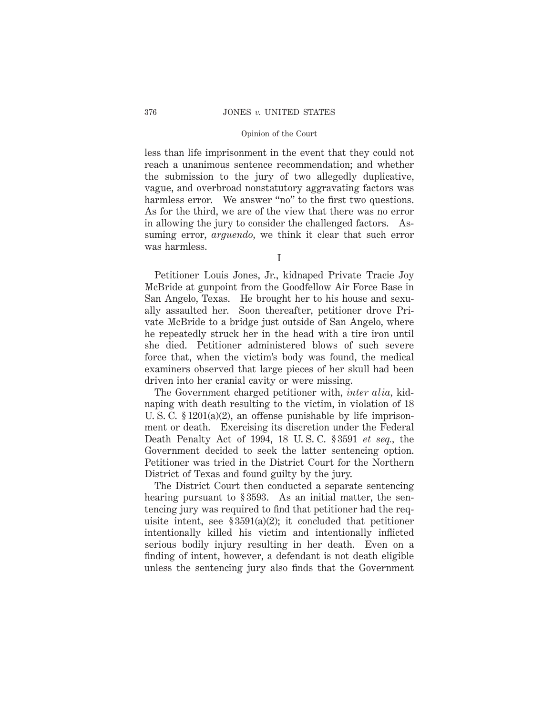less than life imprisonment in the event that they could not reach a unanimous sentence recommendation; and whether the submission to the jury of two allegedly duplicative, vague, and overbroad nonstatutory aggravating factors was harmless error. We answer "no" to the first two questions. As for the third, we are of the view that there was no error in allowing the jury to consider the challenged factors. Assuming error, *arguendo,* we think it clear that such error was harmless.

Petitioner Louis Jones, Jr., kidnaped Private Tracie Joy McBride at gunpoint from the Goodfellow Air Force Base in San Angelo, Texas. He brought her to his house and sexually assaulted her. Soon thereafter, petitioner drove Private McBride to a bridge just outside of San Angelo, where he repeatedly struck her in the head with a tire iron until she died. Petitioner administered blows of such severe force that, when the victim's body was found, the medical examiners observed that large pieces of her skull had been driven into her cranial cavity or were missing.

The Government charged petitioner with, *inter alia,* kidnaping with death resulting to the victim, in violation of 18 U. S. C.  $$1201(a)(2)$ , an offense punishable by life imprisonment or death. Exercising its discretion under the Federal Death Penalty Act of 1994, 18 U. S. C. § 3591 *et seq.,* the Government decided to seek the latter sentencing option. Petitioner was tried in the District Court for the Northern District of Texas and found guilty by the jury.

The District Court then conducted a separate sentencing hearing pursuant to §3593. As an initial matter, the sentencing jury was required to find that petitioner had the requisite intent, see  $$3591(a)(2)$ ; it concluded that petitioner intentionally killed his victim and intentionally inflicted serious bodily injury resulting in her death. Even on a finding of intent, however, a defendant is not death eligible unless the sentencing jury also finds that the Government

I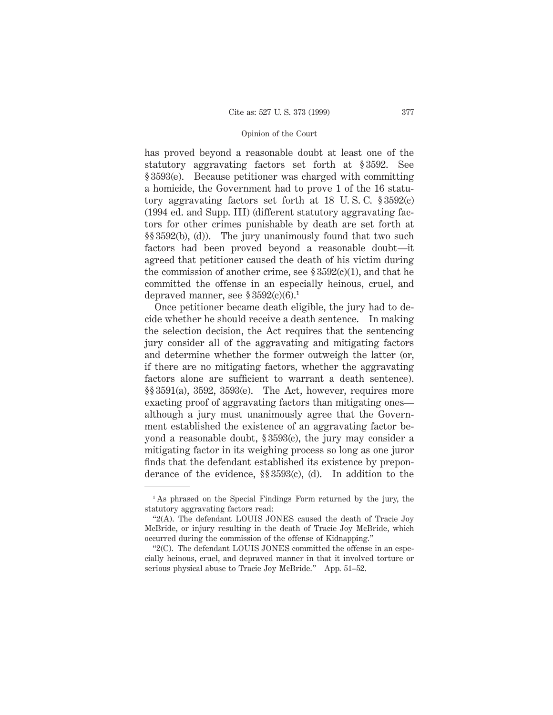has proved beyond a reasonable doubt at least one of the statutory aggravating factors set forth at § 3592. See § 3593(e). Because petitioner was charged with committing a homicide, the Government had to prove 1 of the 16 statutory aggravating factors set forth at 18 U. S. C. § 3592(c) (1994 ed. and Supp. III) (different statutory aggravating factors for other crimes punishable by death are set forth at §§ 3592(b), (d)). The jury unanimously found that two such factors had been proved beyond a reasonable doubt—it agreed that petitioner caused the death of his victim during the commission of another crime, see  $\S 3592(c)(1)$ , and that he committed the offense in an especially heinous, cruel, and depraved manner, see  $$3592(c)(6).<sup>1</sup>$ 

Once petitioner became death eligible, the jury had to decide whether he should receive a death sentence. In making the selection decision, the Act requires that the sentencing jury consider all of the aggravating and mitigating factors and determine whether the former outweigh the latter (or, if there are no mitigating factors, whether the aggravating factors alone are sufficient to warrant a death sentence). §§ 3591(a), 3592, 3593(e). The Act, however, requires more exacting proof of aggravating factors than mitigating ones although a jury must unanimously agree that the Government established the existence of an aggravating factor beyond a reasonable doubt, § 3593(c), the jury may consider a mitigating factor in its weighing process so long as one juror finds that the defendant established its existence by preponderance of the evidence, §§ 3593(c), (d). In addition to the

<sup>&</sup>lt;sup>1</sup>As phrased on the Special Findings Form returned by the jury, the statutory aggravating factors read:

<sup>&</sup>quot;2(A). The defendant LOUIS JONES caused the death of Tracie Joy McBride, or injury resulting in the death of Tracie Joy McBride, which occurred during the commission of the offense of Kidnapping."

<sup>&</sup>quot;2(C). The defendant LOUIS JONES committed the offense in an especially heinous, cruel, and depraved manner in that it involved torture or serious physical abuse to Tracie Joy McBride." App. 51–52.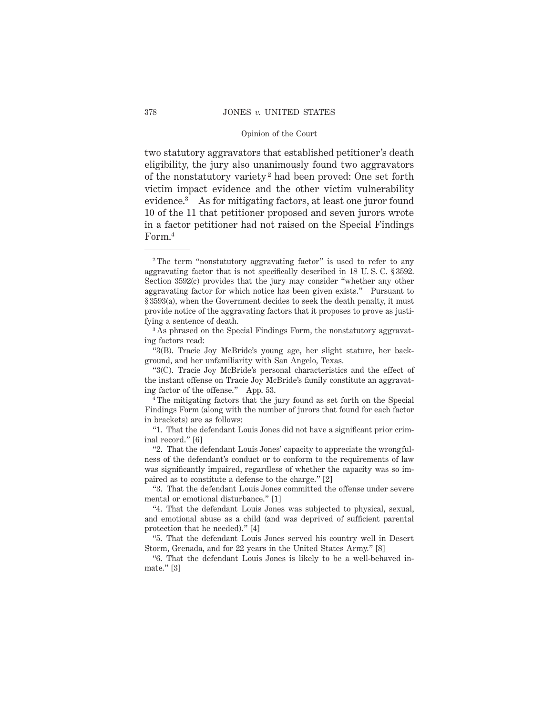two statutory aggravators that established petitioner's death eligibility, the jury also unanimously found two aggravators of the nonstatutory variety<sup>2</sup> had been proved: One set forth victim impact evidence and the other victim vulnerability evidence.3 As for mitigating factors, at least one juror found 10 of the 11 that petitioner proposed and seven jurors wrote in a factor petitioner had not raised on the Special Findings Form.4

<sup>&</sup>lt;sup>2</sup>The term "nonstatutory aggravating factor" is used to refer to any aggravating factor that is not specifically described in 18 U. S. C. § 3592. Section 3592(c) provides that the jury may consider "whether any other aggravating factor for which notice has been given exists." Pursuant to § 3593(a), when the Government decides to seek the death penalty, it must provide notice of the aggravating factors that it proposes to prove as justifying a sentence of death.

<sup>&</sup>lt;sup>3</sup> As phrased on the Special Findings Form, the nonstatutory aggravating factors read:

<sup>&</sup>quot;3(B). Tracie Joy McBride's young age, her slight stature, her background, and her unfamiliarity with San Angelo, Texas.

<sup>&</sup>quot;3(C). Tracie Joy McBride's personal characteristics and the effect of the instant offense on Tracie Joy McBride's family constitute an aggravating factor of the offense." App. 53.

<sup>4</sup> The mitigating factors that the jury found as set forth on the Special Findings Form (along with the number of jurors that found for each factor in brackets) are as follows:

<sup>&</sup>quot;1. That the defendant Louis Jones did not have a significant prior criminal record." [6]

<sup>&</sup>quot;2. That the defendant Louis Jones' capacity to appreciate the wrongfulness of the defendant's conduct or to conform to the requirements of law was significantly impaired, regardless of whether the capacity was so impaired as to constitute a defense to the charge." [2]

<sup>&</sup>quot;3. That the defendant Louis Jones committed the offense under severe mental or emotional disturbance." [1]

<sup>&</sup>quot;4. That the defendant Louis Jones was subjected to physical, sexual, and emotional abuse as a child (and was deprived of sufficient parental protection that he needed)." [4]

<sup>&</sup>quot;5. That the defendant Louis Jones served his country well in Desert Storm, Grenada, and for 22 years in the United States Army." [8]

<sup>&</sup>quot;6. That the defendant Louis Jones is likely to be a well-behaved inmate." [3]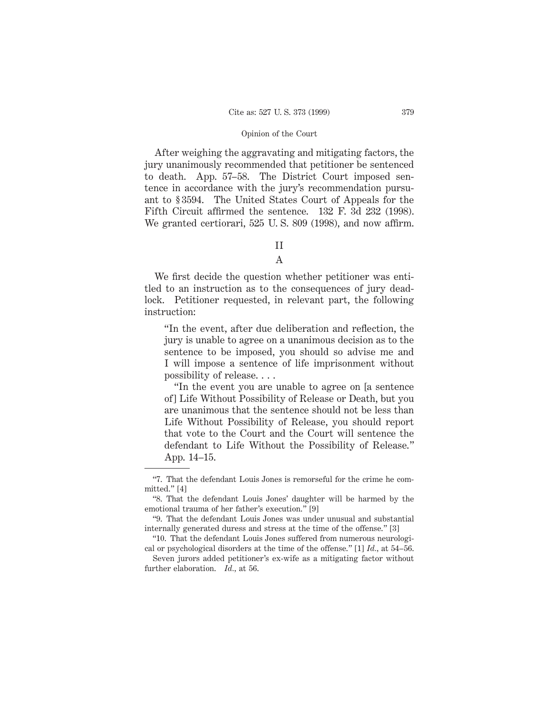After weighing the aggravating and mitigating factors, the jury unanimously recommended that petitioner be sentenced to death. App. 57–58. The District Court imposed sentence in accordance with the jury's recommendation pursuant to § 3594. The United States Court of Appeals for the Fifth Circuit affirmed the sentence. 132 F. 3d 232 (1998). We granted certiorari, 525 U. S. 809 (1998), and now affirm.

### II

# A

We first decide the question whether petitioner was entitled to an instruction as to the consequences of jury deadlock. Petitioner requested, in relevant part, the following instruction:

"In the event, after due deliberation and reflection, the jury is unable to agree on a unanimous decision as to the sentence to be imposed, you should so advise me and I will impose a sentence of life imprisonment without possibility of release....

"In the event you are unable to agree on [a sentence of] Life Without Possibility of Release or Death, but you are unanimous that the sentence should not be less than Life Without Possibility of Release, you should report that vote to the Court and the Court will sentence the defendant to Life Without the Possibility of Release." App. 14–15.

<sup>&</sup>quot;7. That the defendant Louis Jones is remorseful for the crime he committed." [4]

<sup>&</sup>quot;8. That the defendant Louis Jones' daughter will be harmed by the emotional trauma of her father's execution." [9]

<sup>&</sup>quot;9. That the defendant Louis Jones was under unusual and substantial internally generated duress and stress at the time of the offense." [3]

<sup>&</sup>quot;10. That the defendant Louis Jones suffered from numerous neurological or psychological disorders at the time of the offense." [1] *Id.,* at 54–56.

Seven jurors added petitioner's ex-wife as a mitigating factor without further elaboration. *Id.,* at 56.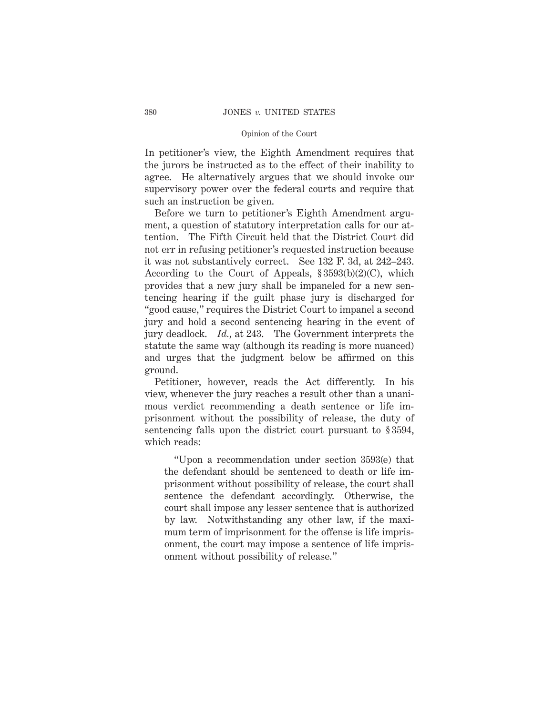In petitioner's view, the Eighth Amendment requires that the jurors be instructed as to the effect of their inability to agree. He alternatively argues that we should invoke our supervisory power over the federal courts and require that such an instruction be given.

Before we turn to petitioner's Eighth Amendment argument, a question of statutory interpretation calls for our attention. The Fifth Circuit held that the District Court did not err in refusing petitioner's requested instruction because it was not substantively correct. See 132 F. 3d, at 242–243. According to the Court of Appeals,  $\S 3593(b)(2)(C)$ , which provides that a new jury shall be impaneled for a new sentencing hearing if the guilt phase jury is discharged for "good cause," requires the District Court to impanel a second jury and hold a second sentencing hearing in the event of jury deadlock. *Id.,* at 243. The Government interprets the statute the same way (although its reading is more nuanced) and urges that the judgment below be affirmed on this ground.

Petitioner, however, reads the Act differently. In his view, whenever the jury reaches a result other than a unanimous verdict recommending a death sentence or life imprisonment without the possibility of release, the duty of sentencing falls upon the district court pursuant to § 3594, which reads:

"Upon a recommendation under section 3593(e) that the defendant should be sentenced to death or life imprisonment without possibility of release, the court shall sentence the defendant accordingly. Otherwise, the court shall impose any lesser sentence that is authorized by law. Notwithstanding any other law, if the maximum term of imprisonment for the offense is life imprisonment, the court may impose a sentence of life imprisonment without possibility of release."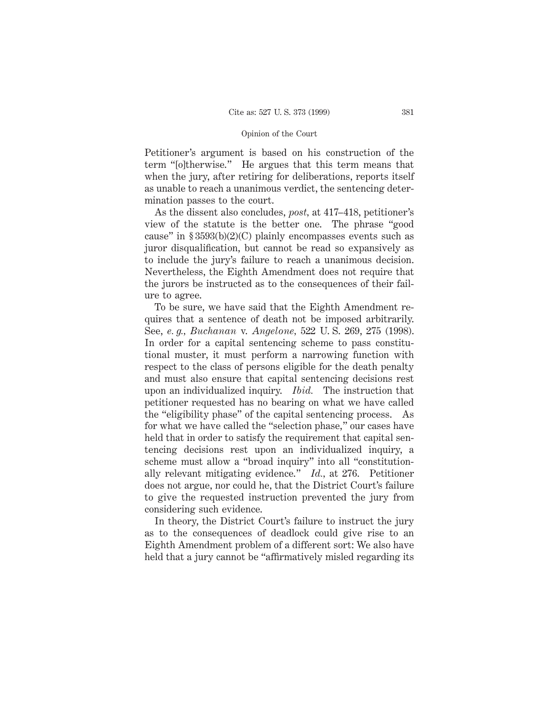Petitioner's argument is based on his construction of the term "[o]therwise." He argues that this term means that when the jury, after retiring for deliberations, reports itself as unable to reach a unanimous verdict, the sentencing determination passes to the court.

As the dissent also concludes, *post,* at 417–418, petitioner's view of the statute is the better one. The phrase "good cause" in  $$3593(b)(2)(C)$  plainly encompasses events such as juror disqualification, but cannot be read so expansively as to include the jury's failure to reach a unanimous decision. Nevertheless, the Eighth Amendment does not require that the jurors be instructed as to the consequences of their failure to agree.

To be sure, we have said that the Eighth Amendment requires that a sentence of death not be imposed arbitrarily. See, *e. g., Buchanan* v. *Angelone,* 522 U. S. 269, 275 (1998). In order for a capital sentencing scheme to pass constitutional muster, it must perform a narrowing function with respect to the class of persons eligible for the death penalty and must also ensure that capital sentencing decisions rest upon an individualized inquiry. *Ibid.* The instruction that petitioner requested has no bearing on what we have called the "eligibility phase" of the capital sentencing process. As for what we have called the "selection phase," our cases have held that in order to satisfy the requirement that capital sentencing decisions rest upon an individualized inquiry, a scheme must allow a "broad inquiry" into all "constitutionally relevant mitigating evidence." *Id.,* at 276. Petitioner does not argue, nor could he, that the District Court's failure to give the requested instruction prevented the jury from considering such evidence.

In theory, the District Court's failure to instruct the jury as to the consequences of deadlock could give rise to an Eighth Amendment problem of a different sort: We also have held that a jury cannot be "affirmatively misled regarding its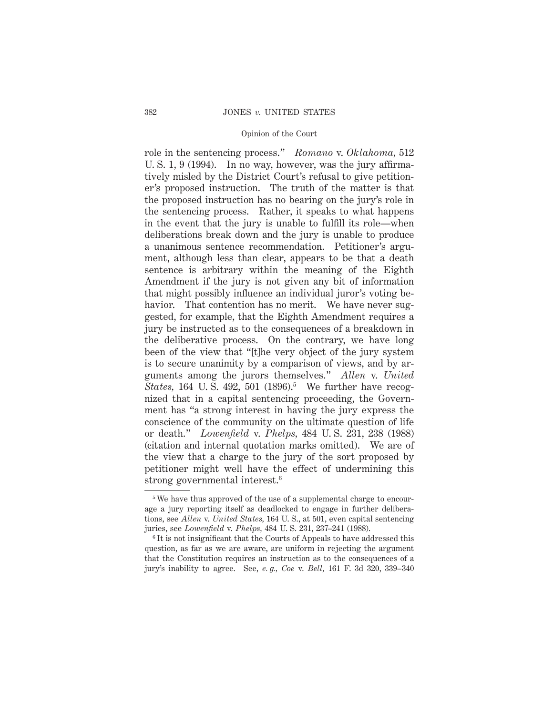role in the sentencing process." *Romano* v. *Oklahoma,* 512 U. S. 1, 9 (1994). In no way, however, was the jury affirmatively misled by the District Court's refusal to give petitioner's proposed instruction. The truth of the matter is that the proposed instruction has no bearing on the jury's role in the sentencing process. Rather, it speaks to what happens in the event that the jury is unable to fulfill its role—when deliberations break down and the jury is unable to produce a unanimous sentence recommendation. Petitioner's argument, although less than clear, appears to be that a death sentence is arbitrary within the meaning of the Eighth Amendment if the jury is not given any bit of information that might possibly influence an individual juror's voting behavior. That contention has no merit. We have never suggested, for example, that the Eighth Amendment requires a jury be instructed as to the consequences of a breakdown in the deliberative process. On the contrary, we have long been of the view that "[t]he very object of the jury system is to secure unanimity by a comparison of views, and by arguments among the jurors themselves." *Allen* v. *United States,* 164 U.S. 492, 501 (1896).<sup>5</sup> We further have recognized that in a capital sentencing proceeding, the Government has "a strong interest in having the jury express the conscience of the community on the ultimate question of life or death." *Lowenfield* v. *Phelps,* 484 U. S. 231, 238 (1988) (citation and internal quotation marks omitted). We are of the view that a charge to the jury of the sort proposed by petitioner might well have the effect of undermining this strong governmental interest.6

<sup>&</sup>lt;sup>5</sup>We have thus approved of the use of a supplemental charge to encourage a jury reporting itself as deadlocked to engage in further deliberations, see *Allen* v. *United States,* 164 U. S., at 501, even capital sentencing juries, see *Lowenfield* v. *Phelps,* 484 U. S. 231, 237–241 (1988).

<sup>&</sup>lt;sup>6</sup> It is not insignificant that the Courts of Appeals to have addressed this question, as far as we are aware, are uniform in rejecting the argument that the Constitution requires an instruction as to the consequences of a jury's inability to agree. See, *e. g., Coe* v. *Bell,* 161 F. 3d 320, 339–340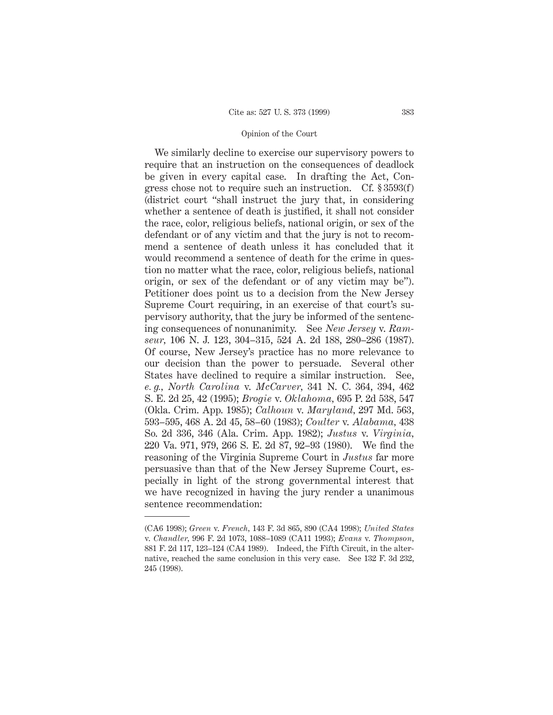We similarly decline to exercise our supervisory powers to require that an instruction on the consequences of deadlock be given in every capital case. In drafting the Act, Congress chose not to require such an instruction. Cf. § 3593(f) (district court "shall instruct the jury that, in considering whether a sentence of death is justified, it shall not consider the race, color, religious beliefs, national origin, or sex of the defendant or of any victim and that the jury is not to recommend a sentence of death unless it has concluded that it would recommend a sentence of death for the crime in question no matter what the race, color, religious beliefs, national origin, or sex of the defendant or of any victim may be"). Petitioner does point us to a decision from the New Jersey Supreme Court requiring, in an exercise of that court's supervisory authority, that the jury be informed of the sentencing consequences of nonunanimity. See *New Jersey* v. *Ramseur,* 106 N. J. 123, 304–315, 524 A. 2d 188, 280–286 (1987). Of course, New Jersey's practice has no more relevance to our decision than the power to persuade. Several other States have declined to require a similar instruction. See, *e. g., North Carolina* v. *McCarver,* 341 N. C. 364, 394, 462 S. E. 2d 25, 42 (1995); *Brogie* v. *Oklahoma,* 695 P. 2d 538, 547 (Okla. Crim. App. 1985); *Calhoun* v. *Maryland,* 297 Md. 563, 593–595, 468 A. 2d 45, 58–60 (1983); *Coulter* v. *Alabama,* 438 So. 2d 336, 346 (Ala. Crim. App. 1982); *Justus* v. *Virginia,* 220 Va. 971, 979, 266 S. E. 2d 87, 92–93 (1980). We find the reasoning of the Virginia Supreme Court in *Justus* far more persuasive than that of the New Jersey Supreme Court, especially in light of the strong governmental interest that we have recognized in having the jury render a unanimous sentence recommendation:

<sup>(</sup>CA6 1998); *Green* v. *French,* 143 F. 3d 865, 890 (CA4 1998); *United States* v. *Chandler,* 996 F. 2d 1073, 1088–1089 (CA11 1993); *Evans* v. *Thompson,* 881 F. 2d 117, 123–124 (CA4 1989). Indeed, the Fifth Circuit, in the alternative, reached the same conclusion in this very case. See 132 F. 3d 232, 245 (1998).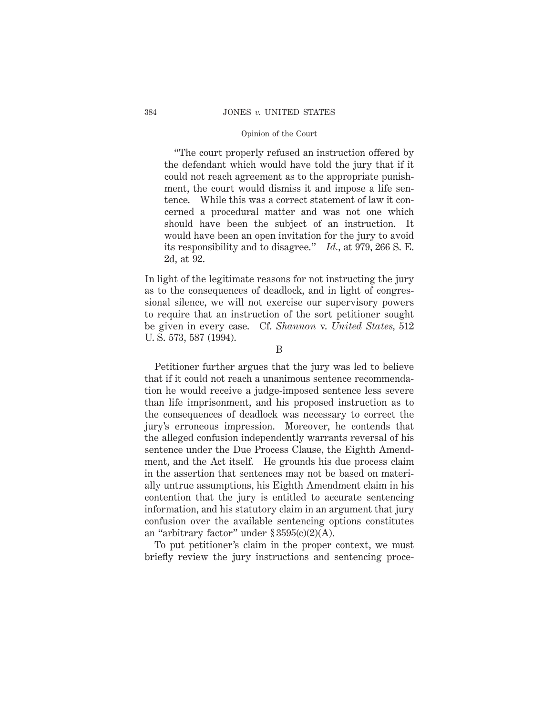"The court properly refused an instruction offered by the defendant which would have told the jury that if it could not reach agreement as to the appropriate punishment, the court would dismiss it and impose a life sentence. While this was a correct statement of law it concerned a procedural matter and was not one which should have been the subject of an instruction. It would have been an open invitation for the jury to avoid its responsibility and to disagree." *Id.,* at 979, 266 S. E. 2d, at 92.

In light of the legitimate reasons for not instructing the jury as to the consequences of deadlock, and in light of congressional silence, we will not exercise our supervisory powers to require that an instruction of the sort petitioner sought be given in every case. Cf. *Shannon* v. *United States,* 512 U. S. 573, 587 (1994).

B

Petitioner further argues that the jury was led to believe that if it could not reach a unanimous sentence recommendation he would receive a judge-imposed sentence less severe than life imprisonment, and his proposed instruction as to the consequences of deadlock was necessary to correct the jury's erroneous impression. Moreover, he contends that the alleged confusion independently warrants reversal of his sentence under the Due Process Clause, the Eighth Amendment, and the Act itself. He grounds his due process claim in the assertion that sentences may not be based on materially untrue assumptions, his Eighth Amendment claim in his contention that the jury is entitled to accurate sentencing information, and his statutory claim in an argument that jury confusion over the available sentencing options constitutes an "arbitrary factor" under § 3595(c)(2)(A).

To put petitioner's claim in the proper context, we must briefly review the jury instructions and sentencing proce-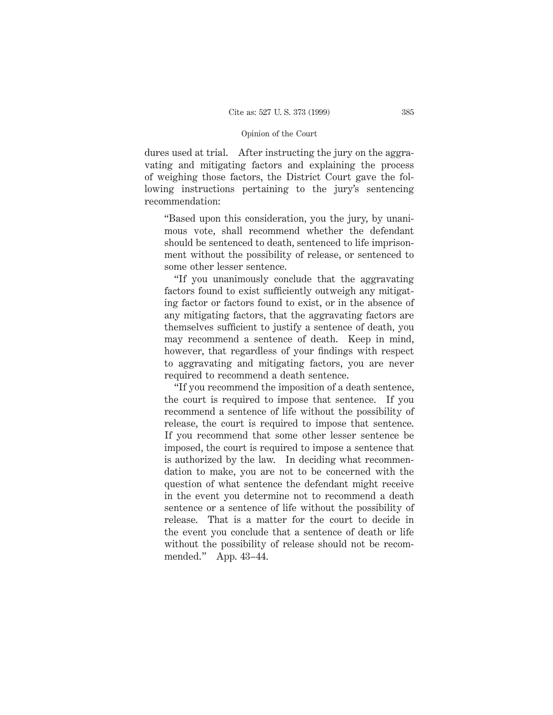dures used at trial. After instructing the jury on the aggravating and mitigating factors and explaining the process of weighing those factors, the District Court gave the following instructions pertaining to the jury's sentencing recommendation:

"Based upon this consideration, you the jury, by unanimous vote, shall recommend whether the defendant should be sentenced to death, sentenced to life imprisonment without the possibility of release, or sentenced to some other lesser sentence.

"If you unanimously conclude that the aggravating factors found to exist sufficiently outweigh any mitigating factor or factors found to exist, or in the absence of any mitigating factors, that the aggravating factors are themselves sufficient to justify a sentence of death, you may recommend a sentence of death. Keep in mind, however, that regardless of your findings with respect to aggravating and mitigating factors, you are never required to recommend a death sentence.

"If you recommend the imposition of a death sentence, the court is required to impose that sentence. If you recommend a sentence of life without the possibility of release, the court is required to impose that sentence. If you recommend that some other lesser sentence be imposed, the court is required to impose a sentence that is authorized by the law. In deciding what recommendation to make, you are not to be concerned with the question of what sentence the defendant might receive in the event you determine not to recommend a death sentence or a sentence of life without the possibility of release. That is a matter for the court to decide in the event you conclude that a sentence of death or life without the possibility of release should not be recommended." App. 43–44.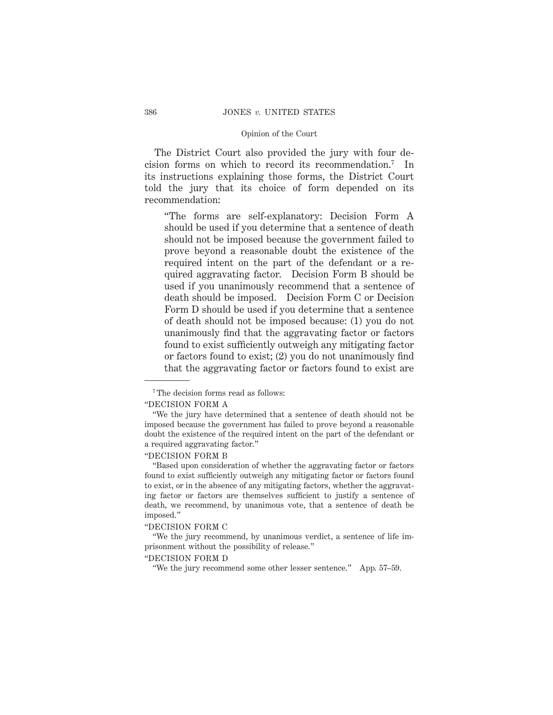The District Court also provided the jury with four decision forms on which to record its recommendation.7 In its instructions explaining those forms, the District Court told the jury that its choice of form depended on its recommendation:

"The forms are self-explanatory: Decision Form A should be used if you determine that a sentence of death should not be imposed because the government failed to prove beyond a reasonable doubt the existence of the required intent on the part of the defendant or a required aggravating factor. Decision Form B should be used if you unanimously recommend that a sentence of death should be imposed. Decision Form C or Decision Form D should be used if you determine that a sentence of death should not be imposed because: (1) you do not unanimously find that the aggravating factor or factors found to exist sufficiently outweigh any mitigating factor or factors found to exist; (2) you do not unanimously find that the aggravating factor or factors found to exist are

#### "DECISION FORM B

"Based upon consideration of whether the aggravating factor or factors found to exist sufficiently outweigh any mitigating factor or factors found to exist, or in the absence of any mitigating factors, whether the aggravating factor or factors are themselves sufficient to justify a sentence of death, we recommend, by unanimous vote, that a sentence of death be imposed."

#### "DECISION FORM C

<sup>7</sup> The decision forms read as follows:

<sup>&</sup>quot;DECISION FORM A

<sup>&</sup>quot;We the jury have determined that a sentence of death should not be imposed because the government has failed to prove beyond a reasonable doubt the existence of the required intent on the part of the defendant or a required aggravating factor."

<sup>&</sup>quot;We the jury recommend, by unanimous verdict, a sentence of life imprisonment without the possibility of release."

<sup>&</sup>quot;DECISION FORM D

<sup>&</sup>quot;We the jury recommend some other lesser sentence." App. 57–59.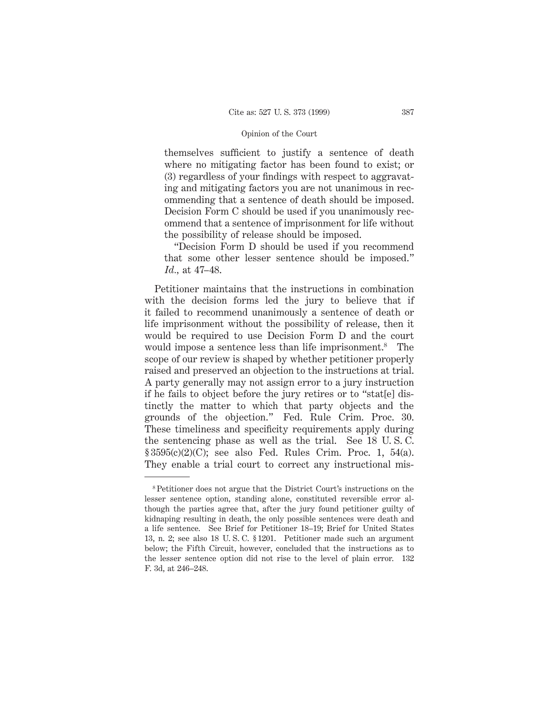themselves sufficient to justify a sentence of death where no mitigating factor has been found to exist; or (3) regardless of your findings with respect to aggravating and mitigating factors you are not unanimous in recommending that a sentence of death should be imposed. Decision Form C should be used if you unanimously recommend that a sentence of imprisonment for life without the possibility of release should be imposed.

"Decision Form D should be used if you recommend that some other lesser sentence should be imposed." *Id.,* at 47–48.

Petitioner maintains that the instructions in combination with the decision forms led the jury to believe that if it failed to recommend unanimously a sentence of death or life imprisonment without the possibility of release, then it would be required to use Decision Form D and the court would impose a sentence less than life imprisonment.<sup>8</sup> The scope of our review is shaped by whether petitioner properly raised and preserved an objection to the instructions at trial. A party generally may not assign error to a jury instruction if he fails to object before the jury retires or to "stat[e] distinctly the matter to which that party objects and the grounds of the objection." Fed. Rule Crim. Proc. 30. These timeliness and specificity requirements apply during the sentencing phase as well as the trial. See 18 U. S. C. § 3595(c)(2)(C); see also Fed. Rules Crim. Proc. 1, 54(a). They enable a trial court to correct any instructional mis-

<sup>8</sup> Petitioner does not argue that the District Court's instructions on the lesser sentence option, standing alone, constituted reversible error although the parties agree that, after the jury found petitioner guilty of kidnaping resulting in death, the only possible sentences were death and a life sentence. See Brief for Petitioner 18–19; Brief for United States 13, n. 2; see also 18 U. S. C. § 1201. Petitioner made such an argument below; the Fifth Circuit, however, concluded that the instructions as to the lesser sentence option did not rise to the level of plain error. 132 F. 3d, at 246–248.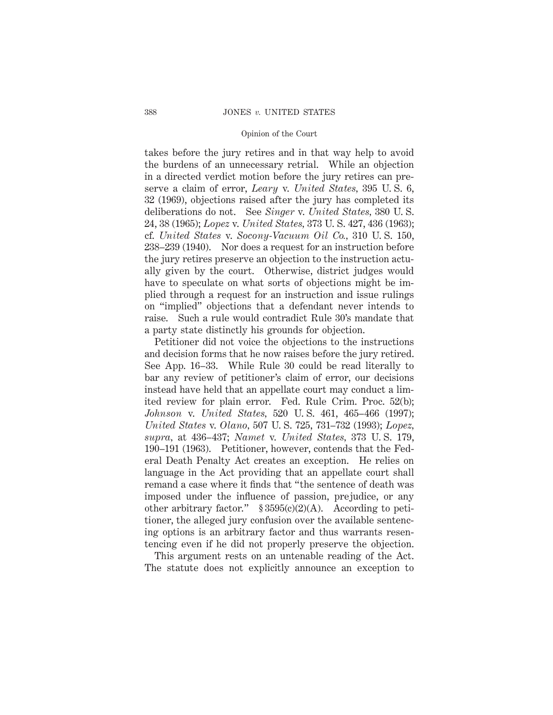takes before the jury retires and in that way help to avoid the burdens of an unnecessary retrial. While an objection in a directed verdict motion before the jury retires can preserve a claim of error, *Leary* v. *United States,* 395 U. S. 6, 32 (1969), objections raised after the jury has completed its deliberations do not. See *Singer* v. *United States,* 380 U. S. 24, 38 (1965); *Lopez* v. *United States,* 373 U. S. 427, 436 (1963); cf. *United States* v. *Socony-Vacuum Oil Co.,* 310 U. S. 150, 238–239 (1940). Nor does a request for an instruction before the jury retires preserve an objection to the instruction actually given by the court. Otherwise, district judges would have to speculate on what sorts of objections might be implied through a request for an instruction and issue rulings on "implied" objections that a defendant never intends to raise. Such a rule would contradict Rule 30's mandate that a party state distinctly his grounds for objection.

Petitioner did not voice the objections to the instructions and decision forms that he now raises before the jury retired. See App. 16–33. While Rule 30 could be read literally to bar any review of petitioner's claim of error, our decisions instead have held that an appellate court may conduct a limited review for plain error. Fed. Rule Crim. Proc. 52(b); *Johnson* v. *United States,* 520 U. S. 461, 465–466 (1997); *United States* v. *Olano,* 507 U. S. 725, 731–732 (1993); *Lopez, supra,* at 436–437; *Namet* v. *United States,* 373 U. S. 179, 190–191 (1963). Petitioner, however, contends that the Federal Death Penalty Act creates an exception. He relies on language in the Act providing that an appellate court shall remand a case where it finds that "the sentence of death was imposed under the influence of passion, prejudice, or any other arbitrary factor."  $\S 3595(c)(2)$ (A). According to petitioner, the alleged jury confusion over the available sentencing options is an arbitrary factor and thus warrants resentencing even if he did not properly preserve the objection.

This argument rests on an untenable reading of the Act. The statute does not explicitly announce an exception to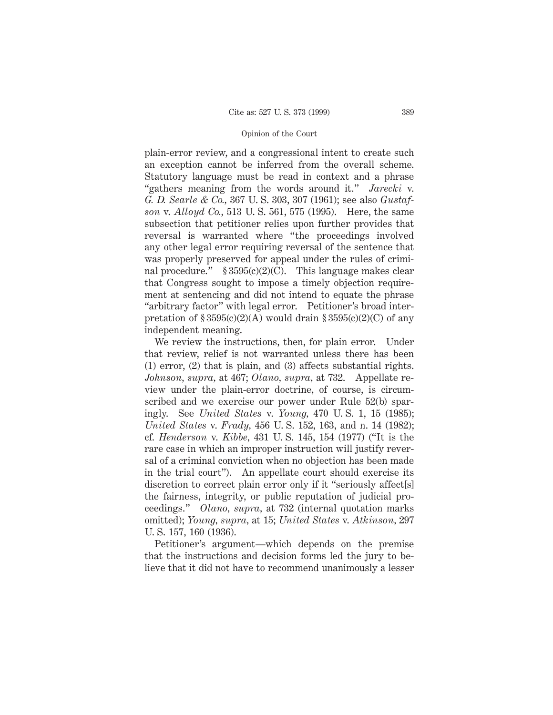plain-error review, and a congressional intent to create such an exception cannot be inferred from the overall scheme. Statutory language must be read in context and a phrase "gathers meaning from the words around it." *Jarecki* v. *G. D. Searle & Co.,* 367 U. S. 303, 307 (1961); see also *Gustafson* v. *Alloyd Co.,* 513 U. S. 561, 575 (1995). Here, the same subsection that petitioner relies upon further provides that reversal is warranted where "the proceedings involved any other legal error requiring reversal of the sentence that was properly preserved for appeal under the rules of criminal procedure." § 3595(c)(2)(C). This language makes clear that Congress sought to impose a timely objection requirement at sentencing and did not intend to equate the phrase "arbitrary factor" with legal error. Petitioner's broad interpretation of  $\S 3595(c)(2)(A)$  would drain  $\S 3595(c)(2)(C)$  of any independent meaning.

We review the instructions, then, for plain error. Under that review, relief is not warranted unless there has been (1) error, (2) that is plain, and (3) affects substantial rights. *Johnson, supra,* at 467; *Olano, supra,* at 732. Appellate review under the plain-error doctrine, of course, is circumscribed and we exercise our power under Rule 52(b) sparingly. See *United States* v. *Young,* 470 U. S. 1, 15 (1985); *United States* v. *Frady,* 456 U. S. 152, 163, and n. 14 (1982); cf. *Henderson* v. *Kibbe,* 431 U. S. 145, 154 (1977) ("It is the rare case in which an improper instruction will justify reversal of a criminal conviction when no objection has been made in the trial court"). An appellate court should exercise its discretion to correct plain error only if it "seriously affect[s] the fairness, integrity, or public reputation of judicial proceedings." *Olano, supra,* at 732 (internal quotation marks omitted); *Young, supra,* at 15; *United States* v. *Atkinson,* 297 U. S. 157, 160 (1936).

Petitioner's argument—which depends on the premise that the instructions and decision forms led the jury to believe that it did not have to recommend unanimously a lesser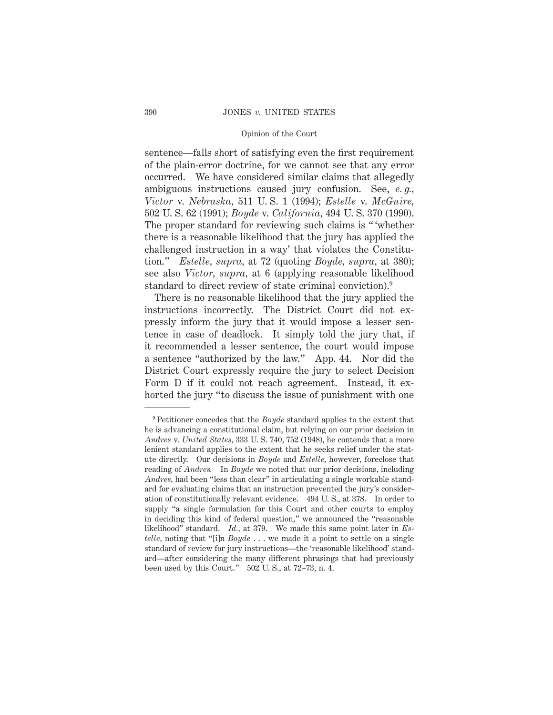sentence—falls short of satisfying even the first requirement of the plain-error doctrine, for we cannot see that any error occurred. We have considered similar claims that allegedly ambiguous instructions caused jury confusion. See, *e. g., Victor* v. *Nebraska,* 511 U. S. 1 (1994); *Estelle* v. *McGuire,* 502 U. S. 62 (1991); *Boyde* v. *California,* 494 U. S. 370 (1990). The proper standard for reviewing such claims is " 'whether there is a reasonable likelihood that the jury has applied the challenged instruction in a way' that violates the Constitution." *Estelle, supra,* at 72 (quoting *Boyde, supra,* at 380); see also *Victor, supra,* at 6 (applying reasonable likelihood standard to direct review of state criminal conviction).9

There is no reasonable likelihood that the jury applied the instructions incorrectly. The District Court did not expressly inform the jury that it would impose a lesser sentence in case of deadlock. It simply told the jury that, if it recommended a lesser sentence, the court would impose a sentence "authorized by the law." App. 44. Nor did the District Court expressly require the jury to select Decision Form D if it could not reach agreement. Instead, it exhorted the jury "to discuss the issue of punishment with one

<sup>9</sup> Petitioner concedes that the *Boyde* standard applies to the extent that he is advancing a constitutional claim, but relying on our prior decision in *Andres* v. *United States,* 333 U. S. 740, 752 (1948), he contends that a more lenient standard applies to the extent that he seeks relief under the statute directly. Our decisions in *Boyde* and *Estelle,* however, foreclose that reading of *Andres.* In *Boyde* we noted that our prior decisions, including *Andres,* had been "less than clear" in articulating a single workable standard for evaluating claims that an instruction prevented the jury's consideration of constitutionally relevant evidence. 494 U. S., at 378. In order to supply "a single formulation for this Court and other courts to employ in deciding this kind of federal question," we announced the "reasonable likelihood" standard. *Id.,* at 379. We made this same point later in *Estelle,* noting that "[i]n *Boyde* . . . we made it a point to settle on a single standard of review for jury instructions—the 'reasonable likelihood' standard—after considering the many different phrasings that had previously been used by this Court." 502 U. S., at 72–73, n. 4.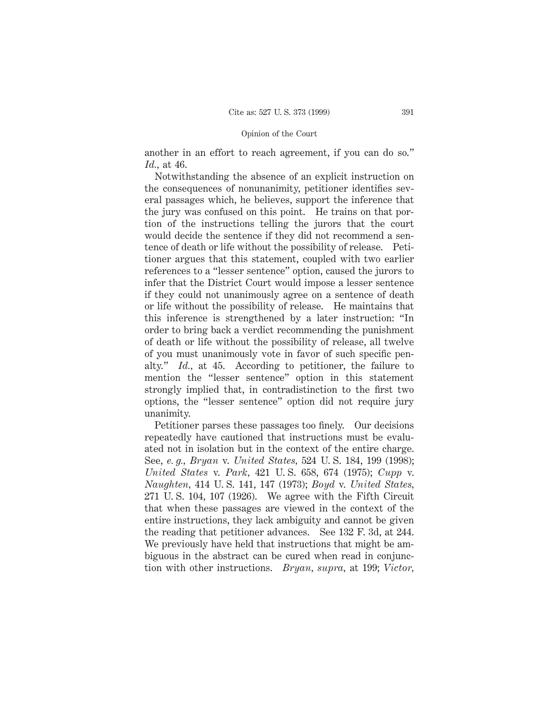another in an effort to reach agreement, if you can do so." *Id.,* at 46.

Notwithstanding the absence of an explicit instruction on the consequences of nonunanimity, petitioner identifies several passages which, he believes, support the inference that the jury was confused on this point. He trains on that portion of the instructions telling the jurors that the court would decide the sentence if they did not recommend a sentence of death or life without the possibility of release. Petitioner argues that this statement, coupled with two earlier references to a "lesser sentence" option, caused the jurors to infer that the District Court would impose a lesser sentence if they could not unanimously agree on a sentence of death or life without the possibility of release. He maintains that this inference is strengthened by a later instruction: "In order to bring back a verdict recommending the punishment of death or life without the possibility of release, all twelve of you must unanimously vote in favor of such specific penalty." *Id.,* at 45. According to petitioner, the failure to mention the "lesser sentence" option in this statement strongly implied that, in contradistinction to the first two options, the "lesser sentence" option did not require jury unanimity.

Petitioner parses these passages too finely. Our decisions repeatedly have cautioned that instructions must be evaluated not in isolation but in the context of the entire charge. See, *e. g., Bryan* v. *United States,* 524 U. S. 184, 199 (1998); *United States* v. *Park,* 421 U. S. 658, 674 (1975); *Cupp* v. *Naughten,* 414 U. S. 141, 147 (1973); *Boyd* v. *United States,* 271 U. S. 104, 107 (1926). We agree with the Fifth Circuit that when these passages are viewed in the context of the entire instructions, they lack ambiguity and cannot be given the reading that petitioner advances. See 132 F. 3d, at 244. We previously have held that instructions that might be ambiguous in the abstract can be cured when read in conjunction with other instructions. *Bryan, supra,* at 199; *Victor,*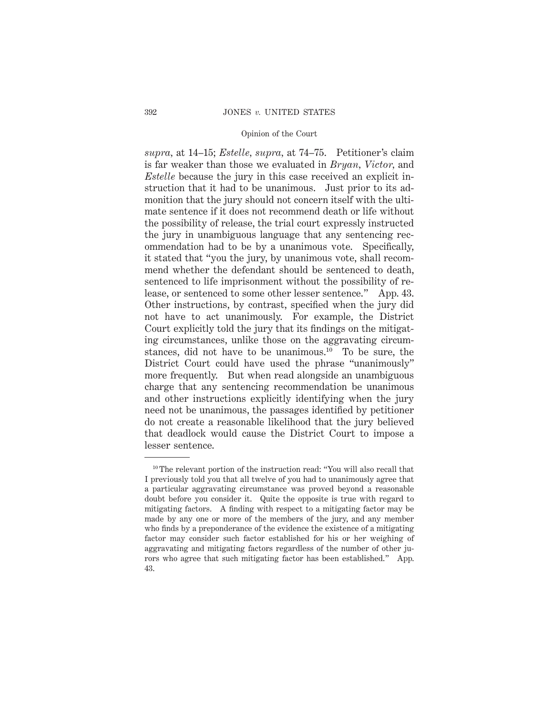*supra,* at 14–15; *Estelle, supra,* at 74–75. Petitioner's claim is far weaker than those we evaluated in *Bryan, Victor,* and *Estelle* because the jury in this case received an explicit instruction that it had to be unanimous. Just prior to its admonition that the jury should not concern itself with the ultimate sentence if it does not recommend death or life without the possibility of release, the trial court expressly instructed the jury in unambiguous language that any sentencing recommendation had to be by a unanimous vote. Specifically, it stated that "you the jury, by unanimous vote, shall recommend whether the defendant should be sentenced to death, sentenced to life imprisonment without the possibility of release, or sentenced to some other lesser sentence." App. 43. Other instructions, by contrast, specified when the jury did not have to act unanimously. For example, the District Court explicitly told the jury that its findings on the mitigating circumstances, unlike those on the aggravating circumstances, did not have to be unanimous.<sup>10</sup> To be sure, the District Court could have used the phrase "unanimously" more frequently. But when read alongside an unambiguous charge that any sentencing recommendation be unanimous and other instructions explicitly identifying when the jury need not be unanimous, the passages identified by petitioner do not create a reasonable likelihood that the jury believed that deadlock would cause the District Court to impose a lesser sentence.

<sup>&</sup>lt;sup>10</sup> The relevant portion of the instruction read: "You will also recall that I previously told you that all twelve of you had to unanimously agree that a particular aggravating circumstance was proved beyond a reasonable doubt before you consider it. Quite the opposite is true with regard to mitigating factors. A finding with respect to a mitigating factor may be made by any one or more of the members of the jury, and any member who finds by a preponderance of the evidence the existence of a mitigating factor may consider such factor established for his or her weighing of aggravating and mitigating factors regardless of the number of other jurors who agree that such mitigating factor has been established." App. 43.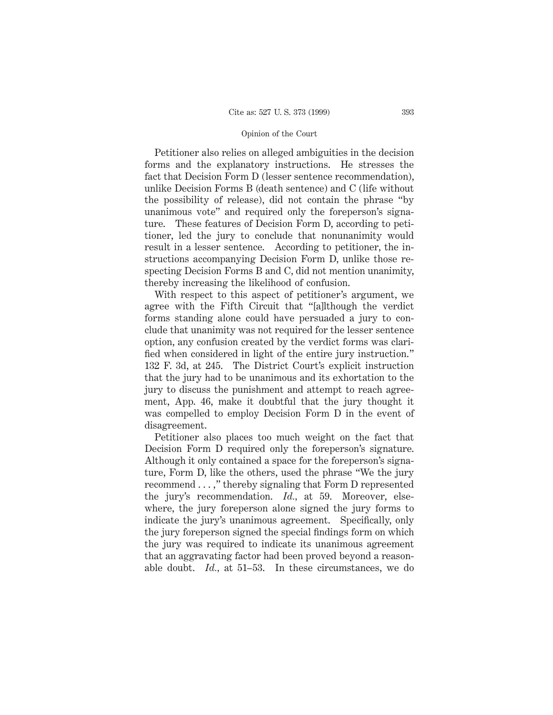Petitioner also relies on alleged ambiguities in the decision forms and the explanatory instructions. He stresses the fact that Decision Form D (lesser sentence recommendation), unlike Decision Forms B (death sentence) and C (life without the possibility of release), did not contain the phrase "by unanimous vote" and required only the foreperson's signature. These features of Decision Form D, according to petitioner, led the jury to conclude that nonunanimity would result in a lesser sentence. According to petitioner, the instructions accompanying Decision Form D, unlike those respecting Decision Forms B and C, did not mention unanimity, thereby increasing the likelihood of confusion.

With respect to this aspect of petitioner's argument, we agree with the Fifth Circuit that "[a]lthough the verdict forms standing alone could have persuaded a jury to conclude that unanimity was not required for the lesser sentence option, any confusion created by the verdict forms was clarified when considered in light of the entire jury instruction." 132 F. 3d, at 245. The District Court's explicit instruction that the jury had to be unanimous and its exhortation to the jury to discuss the punishment and attempt to reach agreement, App. 46, make it doubtful that the jury thought it was compelled to employ Decision Form D in the event of disagreement.

Petitioner also places too much weight on the fact that Decision Form D required only the foreperson's signature. Although it only contained a space for the foreperson's signature, Form D, like the others, used the phrase "We the jury recommend . . . ," thereby signaling that Form D represented the jury's recommendation. *Id.,* at 59. Moreover, elsewhere, the jury foreperson alone signed the jury forms to indicate the jury's unanimous agreement. Specifically, only the jury foreperson signed the special findings form on which the jury was required to indicate its unanimous agreement that an aggravating factor had been proved beyond a reasonable doubt. *Id.,* at 51–53. In these circumstances, we do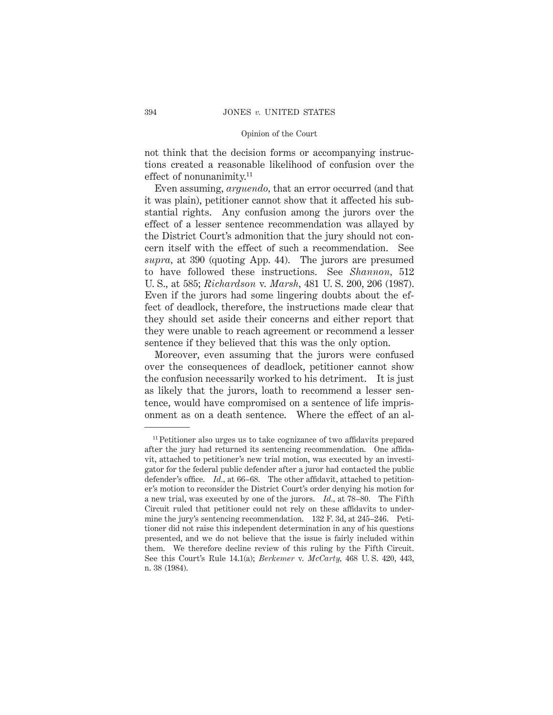not think that the decision forms or accompanying instructions created a reasonable likelihood of confusion over the effect of nonunanimity.11

Even assuming, *arguendo,* that an error occurred (and that it was plain), petitioner cannot show that it affected his substantial rights. Any confusion among the jurors over the effect of a lesser sentence recommendation was allayed by the District Court's admonition that the jury should not concern itself with the effect of such a recommendation. See *supra,* at 390 (quoting App. 44). The jurors are presumed to have followed these instructions. See *Shannon,* 512 U. S., at 585; *Richardson* v. *Marsh,* 481 U. S. 200, 206 (1987). Even if the jurors had some lingering doubts about the effect of deadlock, therefore, the instructions made clear that they should set aside their concerns and either report that they were unable to reach agreement or recommend a lesser sentence if they believed that this was the only option.

Moreover, even assuming that the jurors were confused over the consequences of deadlock, petitioner cannot show the confusion necessarily worked to his detriment. It is just as likely that the jurors, loath to recommend a lesser sentence, would have compromised on a sentence of life imprisonment as on a death sentence. Where the effect of an al-

<sup>11</sup> Petitioner also urges us to take cognizance of two affidavits prepared after the jury had returned its sentencing recommendation. One affidavit, attached to petitioner's new trial motion, was executed by an investigator for the federal public defender after a juror had contacted the public defender's office. *Id.,* at 66–68. The other affidavit, attached to petitioner's motion to reconsider the District Court's order denying his motion for a new trial, was executed by one of the jurors. *Id.,* at 78–80. The Fifth Circuit ruled that petitioner could not rely on these affidavits to undermine the jury's sentencing recommendation. 132 F. 3d, at 245–246. Petitioner did not raise this independent determination in any of his questions presented, and we do not believe that the issue is fairly included within them. We therefore decline review of this ruling by the Fifth Circuit. See this Court's Rule 14.1(a); *Berkemer* v. *McCarty,* 468 U. S. 420, 443, n. 38 (1984).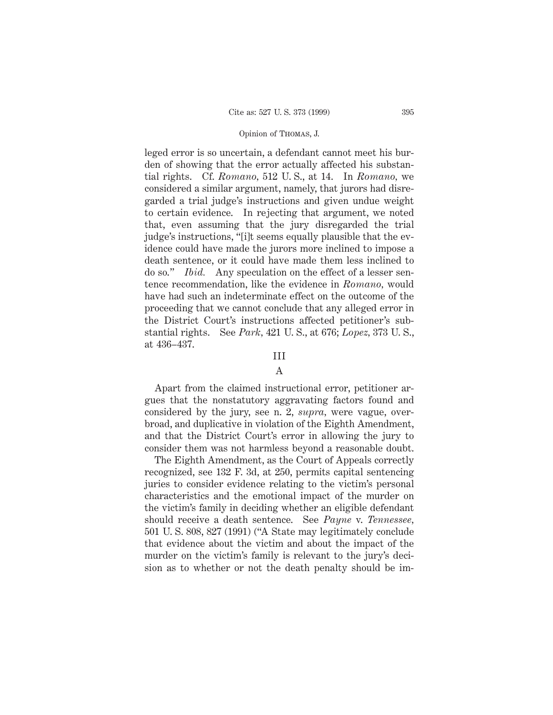leged error is so uncertain, a defendant cannot meet his burden of showing that the error actually affected his substantial rights. Cf. *Romano,* 512 U. S., at 14. In *Romano,* we considered a similar argument, namely, that jurors had disregarded a trial judge's instructions and given undue weight to certain evidence. In rejecting that argument, we noted that, even assuming that the jury disregarded the trial judge's instructions, "[i]t seems equally plausible that the evidence could have made the jurors more inclined to impose a death sentence, or it could have made them less inclined to do so." *Ibid.* Any speculation on the effect of a lesser sentence recommendation, like the evidence in *Romano,* would have had such an indeterminate effect on the outcome of the proceeding that we cannot conclude that any alleged error in the District Court's instructions affected petitioner's substantial rights. See *Park,* 421 U. S., at 676; *Lopez,* 373 U. S., at 436–437.

### III

#### A

Apart from the claimed instructional error, petitioner argues that the nonstatutory aggravating factors found and considered by the jury, see n. 2, *supra,* were vague, overbroad, and duplicative in violation of the Eighth Amendment, and that the District Court's error in allowing the jury to consider them was not harmless beyond a reasonable doubt.

The Eighth Amendment, as the Court of Appeals correctly recognized, see 132 F. 3d, at 250, permits capital sentencing juries to consider evidence relating to the victim's personal characteristics and the emotional impact of the murder on the victim's family in deciding whether an eligible defendant should receive a death sentence. See *Payne* v. *Tennessee,* 501 U. S. 808, 827 (1991) ("A State may legitimately conclude that evidence about the victim and about the impact of the murder on the victim's family is relevant to the jury's decision as to whether or not the death penalty should be im-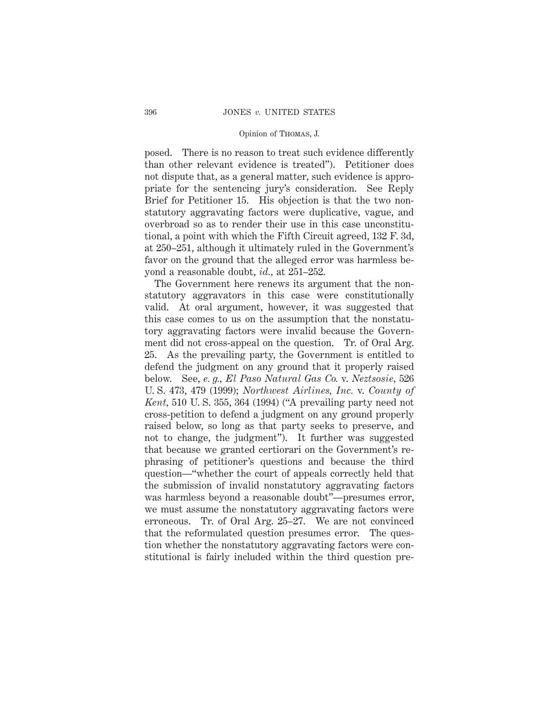posed. There is no reason to treat such evidence differently than other relevant evidence is treated"). Petitioner does not dispute that, as a general matter, such evidence is appropriate for the sentencing jury's consideration. See Reply Brief for Petitioner 15. His objection is that the two nonstatutory aggravating factors were duplicative, vague, and overbroad so as to render their use in this case unconstitutional, a point with which the Fifth Circuit agreed, 132 F. 3d, at 250–251, although it ultimately ruled in the Government's favor on the ground that the alleged error was harmless beyond a reasonable doubt, *id.,* at 251–252.

The Government here renews its argument that the nonstatutory aggravators in this case were constitutionally valid. At oral argument, however, it was suggested that this case comes to us on the assumption that the nonstatutory aggravating factors were invalid because the Government did not cross-appeal on the question. Tr. of Oral Arg. 25. As the prevailing party, the Government is entitled to defend the judgment on any ground that it properly raised below. See, *e. g., El Paso Natural Gas Co.* v. *Neztsosie,* 526 U. S. 473, 479 (1999); *Northwest Airlines, Inc.* v. *County of Kent,* 510 U. S. 355, 364 (1994) ("A prevailing party need not cross-petition to defend a judgment on any ground properly raised below, so long as that party seeks to preserve, and not to change, the judgment"). It further was suggested that because we granted certiorari on the Government's rephrasing of petitioner's questions and because the third question—"whether the court of appeals correctly held that the submission of invalid nonstatutory aggravating factors was harmless beyond a reasonable doubt"—presumes error, we must assume the nonstatutory aggravating factors were erroneous. Tr. of Oral Arg. 25–27. We are not convinced that the reformulated question presumes error. The question whether the nonstatutory aggravating factors were constitutional is fairly included within the third question pre-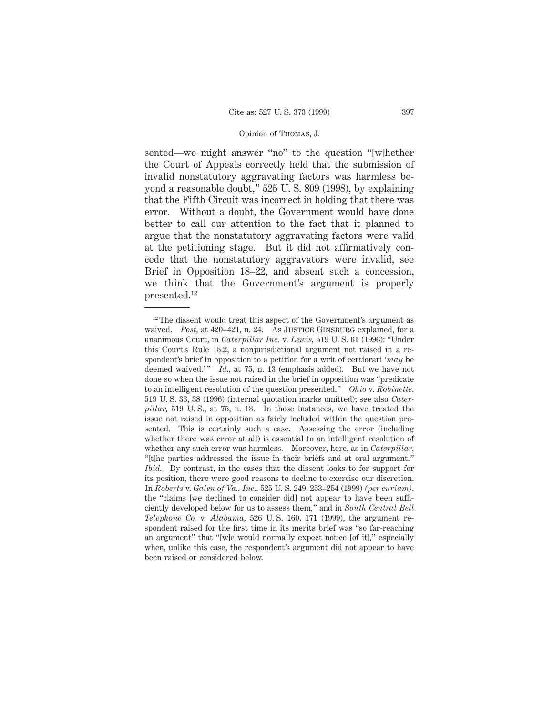sented—we might answer "no" to the question "[w]hether the Court of Appeals correctly held that the submission of invalid nonstatutory aggravating factors was harmless beyond a reasonable doubt," 525 U. S. 809 (1998), by explaining that the Fifth Circuit was incorrect in holding that there was error. Without a doubt, the Government would have done better to call our attention to the fact that it planned to argue that the nonstatutory aggravating factors were valid at the petitioning stage. But it did not affirmatively concede that the nonstatutory aggravators were invalid, see Brief in Opposition 18–22, and absent such a concession, we think that the Government's argument is properly presented.12

 $12$  The dissent would treat this aspect of the Government's argument as waived. *Post*, at 420–421, n. 24. As JUSTICE GINSBURG explained, for a unanimous Court, in *Caterpillar Inc.* v. *Lewis,* 519 U. S. 61 (1996): "Under this Court's Rule 15.2, a nonjurisdictional argument not raised in a respondent's brief in opposition to a petition for a writ of certiorari '*may* be deemed waived.'" *Id.*, at 75, n. 13 (emphasis added). But we have not done so when the issue not raised in the brief in opposition was "predicate to an intelligent resolution of the question presented." *Ohio* v. *Robinette,* 519 U. S. 33, 38 (1996) (internal quotation marks omitted); see also *Caterpillar,* 519 U. S., at 75, n. 13. In those instances, we have treated the issue not raised in opposition as fairly included within the question presented. This is certainly such a case. Assessing the error (including whether there was error at all) is essential to an intelligent resolution of whether any such error was harmless. Moreover, here, as in *Caterpillar,* "[t]he parties addressed the issue in their briefs and at oral argument." *Ibid.* By contrast, in the cases that the dissent looks to for support for its position, there were good reasons to decline to exercise our discretion. In *Roberts* v. *Galen of Va., Inc.,* 525 U. S. 249, 253–254 (1999) *(per curiam),* the "claims [we declined to consider did] not appear to have been sufficiently developed below for us to assess them," and in *South Central Bell Telephone Co.* v. *Alabama,* 526 U. S. 160, 171 (1999), the argument respondent raised for the first time in its merits brief was "so far-reaching an argument" that "[w]e would normally expect notice [of it]," especially when, unlike this case, the respondent's argument did not appear to have been raised or considered below.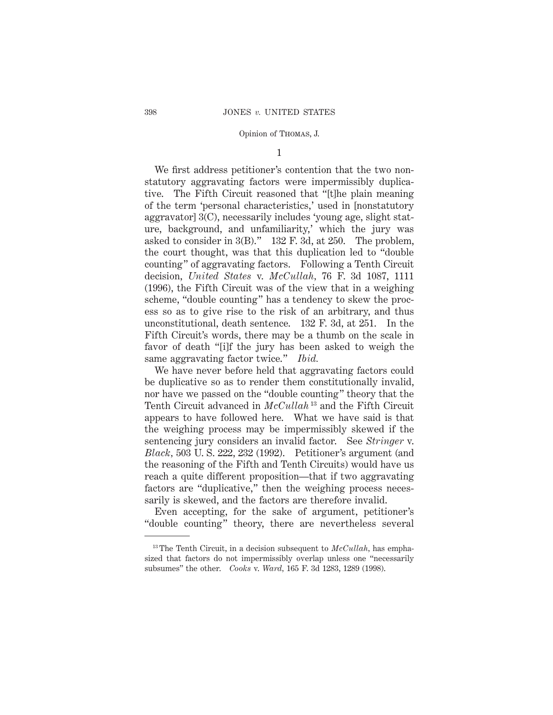### 1

We first address petitioner's contention that the two nonstatutory aggravating factors were impermissibly duplicative. The Fifth Circuit reasoned that "[t]he plain meaning of the term 'personal characteristics,' used in [nonstatutory aggravator] 3(C), necessarily includes 'young age, slight stature, background, and unfamiliarity,' which the jury was asked to consider in 3(B)." 132 F. 3d, at 250. The problem, the court thought, was that this duplication led to "double counting" of aggravating factors. Following a Tenth Circuit decision, *United States* v. *McCullah,* 76 F. 3d 1087, 1111 (1996), the Fifth Circuit was of the view that in a weighing scheme, "double counting" has a tendency to skew the process so as to give rise to the risk of an arbitrary, and thus unconstitutional, death sentence. 132 F. 3d, at 251. In the Fifth Circuit's words, there may be a thumb on the scale in favor of death "[i]f the jury has been asked to weigh the same aggravating factor twice." *Ibid.*

We have never before held that aggravating factors could be duplicative so as to render them constitutionally invalid, nor have we passed on the "double counting" theory that the Tenth Circuit advanced in *McCullah* <sup>13</sup> and the Fifth Circuit appears to have followed here. What we have said is that the weighing process may be impermissibly skewed if the sentencing jury considers an invalid factor. See *Stringer* v. *Black,* 503 U. S. 222, 232 (1992). Petitioner's argument (and the reasoning of the Fifth and Tenth Circuits) would have us reach a quite different proposition—that if two aggravating factors are "duplicative," then the weighing process necessarily is skewed, and the factors are therefore invalid.

Even accepting, for the sake of argument, petitioner's "double counting" theory, there are nevertheless several

<sup>13</sup> The Tenth Circuit, in a decision subsequent to *McCullah,* has emphasized that factors do not impermissibly overlap unless one "necessarily subsumes" the other. *Cooks* v. *Ward,* 165 F. 3d 1283, 1289 (1998).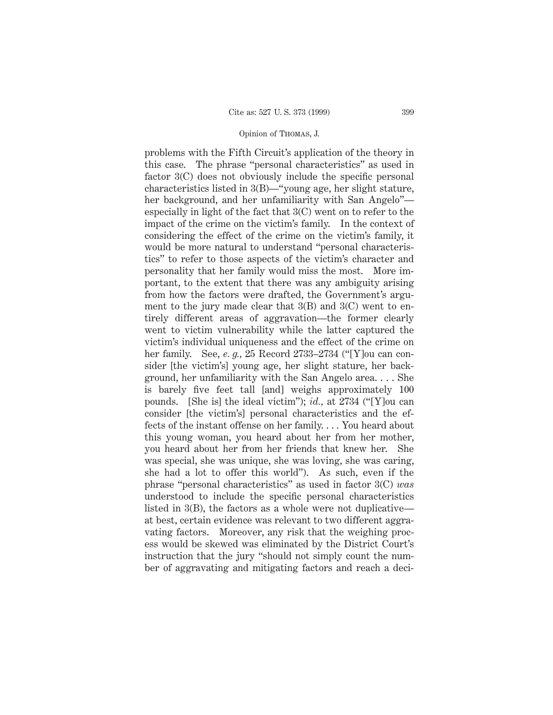problems with the Fifth Circuit's application of the theory in this case. The phrase "personal characteristics" as used in factor 3(C) does not obviously include the specific personal characteristics listed in 3(B)—"young age, her slight stature, her background, and her unfamiliarity with San Angelo" especially in light of the fact that 3(C) went on to refer to the impact of the crime on the victim's family. In the context of considering the effect of the crime on the victim's family, it would be more natural to understand "personal characteristics" to refer to those aspects of the victim's character and personality that her family would miss the most. More important, to the extent that there was any ambiguity arising from how the factors were drafted, the Government's argument to the jury made clear that 3(B) and 3(C) went to entirely different areas of aggravation—the former clearly went to victim vulnerability while the latter captured the victim's individual uniqueness and the effect of the crime on her family. See, *e. g.,* 25 Record 2733–2734 ("[Y]ou can consider [the victim's] young age, her slight stature, her background, her unfamiliarity with the San Angelo area. . . . She is barely five feet tall [and] weighs approximately 100 pounds. [She is] the ideal victim"); *id.,* at 2734 ("[Y]ou can consider [the victim's] personal characteristics and the effects of the instant offense on her family. . . . You heard about this young woman, you heard about her from her mother, you heard about her from her friends that knew her. She was special, she was unique, she was loving, she was caring, she had a lot to offer this world"). As such, even if the phrase "personal characteristics" as used in factor 3(C) *was* understood to include the specific personal characteristics listed in 3(B), the factors as a whole were not duplicative at best, certain evidence was relevant to two different aggravating factors. Moreover, any risk that the weighing process would be skewed was eliminated by the District Court's instruction that the jury "should not simply count the number of aggravating and mitigating factors and reach a deci-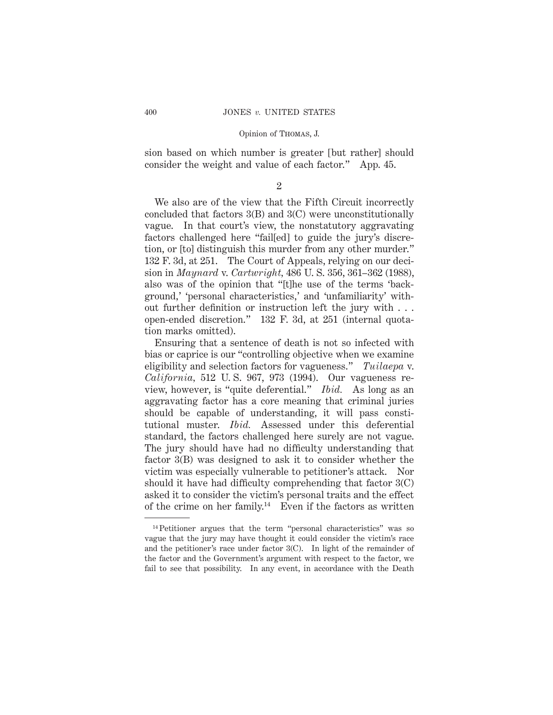sion based on which number is greater [but rather] should consider the weight and value of each factor." App. 45.

2

We also are of the view that the Fifth Circuit incorrectly concluded that factors 3(B) and 3(C) were unconstitutionally vague. In that court's view, the nonstatutory aggravating factors challenged here "fail[ed] to guide the jury's discretion, or [to] distinguish this murder from any other murder." 132 F. 3d, at 251. The Court of Appeals, relying on our decision in *Maynard* v. *Cartwright,* 486 U. S. 356, 361–362 (1988), also was of the opinion that "[t]he use of the terms 'background,' 'personal characteristics,' and 'unfamiliarity' without further definition or instruction left the jury with . . . open-ended discretion." 132 F. 3d, at 251 (internal quotation marks omitted).

Ensuring that a sentence of death is not so infected with bias or caprice is our "controlling objective when we examine eligibility and selection factors for vagueness." *Tuilaepa* v. *California,* 512 U. S. 967, 973 (1994). Our vagueness review, however, is "quite deferential." *Ibid.* As long as an aggravating factor has a core meaning that criminal juries should be capable of understanding, it will pass constitutional muster. *Ibid.* Assessed under this deferential standard, the factors challenged here surely are not vague. The jury should have had no difficulty understanding that factor 3(B) was designed to ask it to consider whether the victim was especially vulnerable to petitioner's attack. Nor should it have had difficulty comprehending that factor 3(C) asked it to consider the victim's personal traits and the effect of the crime on her family.<sup>14</sup> Even if the factors as written

<sup>&</sup>lt;sup>14</sup> Petitioner argues that the term "personal characteristics" was so vague that the jury may have thought it could consider the victim's race and the petitioner's race under factor 3(C). In light of the remainder of the factor and the Government's argument with respect to the factor, we fail to see that possibility. In any event, in accordance with the Death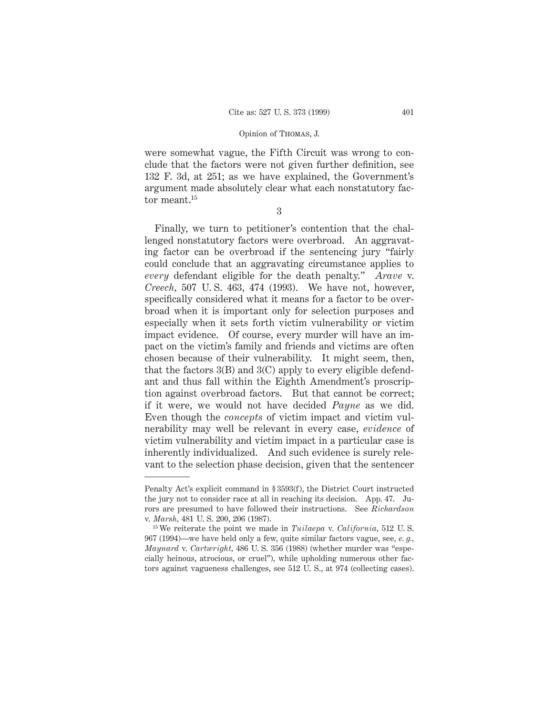were somewhat vague, the Fifth Circuit was wrong to conclude that the factors were not given further definition, see 132 F. 3d, at 251; as we have explained, the Government's argument made absolutely clear what each nonstatutory factor meant.<sup>15</sup>

3

Finally, we turn to petitioner's contention that the challenged nonstatutory factors were overbroad. An aggravating factor can be overbroad if the sentencing jury "fairly could conclude that an aggravating circumstance applies to *every* defendant eligible for the death penalty." *Arave* v. *Creech,* 507 U. S. 463, 474 (1993). We have not, however, specifically considered what it means for a factor to be overbroad when it is important only for selection purposes and especially when it sets forth victim vulnerability or victim impact evidence. Of course, every murder will have an impact on the victim's family and friends and victims are often chosen because of their vulnerability. It might seem, then, that the factors 3(B) and 3(C) apply to every eligible defendant and thus fall within the Eighth Amendment's proscription against overbroad factors. But that cannot be correct; if it were, we would not have decided *Payne* as we did. Even though the *concepts* of victim impact and victim vulnerability may well be relevant in every case, *evidence* of victim vulnerability and victim impact in a particular case is inherently individualized. And such evidence is surely relevant to the selection phase decision, given that the sentencer

Penalty Act's explicit command in § 3593(f), the District Court instructed the jury not to consider race at all in reaching its decision. App. 47. Jurors are presumed to have followed their instructions. See *Richardson* v. *Marsh,* 481 U. S. 200, 206 (1987).

<sup>15</sup> We reiterate the point we made in *Tuilaepa* v. *California,* 512 U. S. 967 (1994)—we have held only a few, quite similar factors vague, see, *e. g., Maynard* v. *Cartwright,* 486 U. S. 356 (1988) (whether murder was "especially heinous, atrocious, or cruel"), while upholding numerous other factors against vagueness challenges, see 512 U. S., at 974 (collecting cases).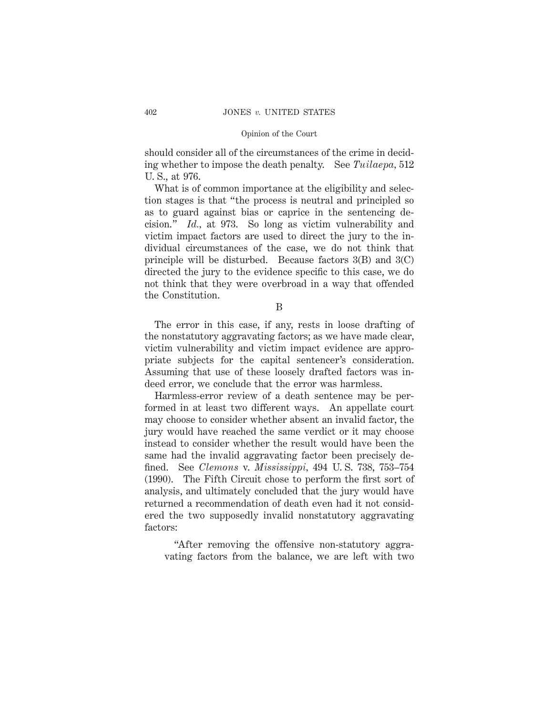should consider all of the circumstances of the crime in deciding whether to impose the death penalty. See *Tuilaepa,* 512 U. S., at 976.

What is of common importance at the eligibility and selection stages is that "the process is neutral and principled so as to guard against bias or caprice in the sentencing decision." *Id.,* at 973. So long as victim vulnerability and victim impact factors are used to direct the jury to the individual circumstances of the case, we do not think that principle will be disturbed. Because factors 3(B) and 3(C) directed the jury to the evidence specific to this case, we do not think that they were overbroad in a way that offended the Constitution.

B

The error in this case, if any, rests in loose drafting of the nonstatutory aggravating factors; as we have made clear, victim vulnerability and victim impact evidence are appropriate subjects for the capital sentencer's consideration. Assuming that use of these loosely drafted factors was indeed error, we conclude that the error was harmless.

Harmless-error review of a death sentence may be performed in at least two different ways. An appellate court may choose to consider whether absent an invalid factor, the jury would have reached the same verdict or it may choose instead to consider whether the result would have been the same had the invalid aggravating factor been precisely defined. See *Clemons* v. *Mississippi,* 494 U. S. 738, 753–754 (1990). The Fifth Circuit chose to perform the first sort of analysis, and ultimately concluded that the jury would have returned a recommendation of death even had it not considered the two supposedly invalid nonstatutory aggravating factors:

"After removing the offensive non-statutory aggravating factors from the balance, we are left with two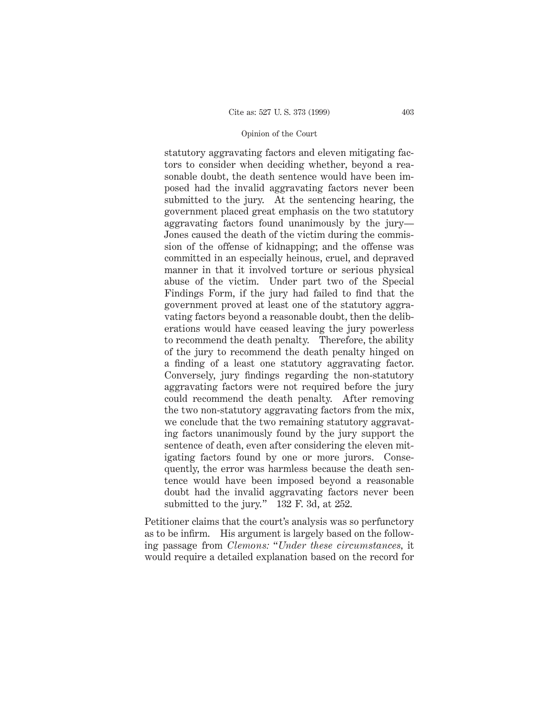statutory aggravating factors and eleven mitigating factors to consider when deciding whether, beyond a reasonable doubt, the death sentence would have been imposed had the invalid aggravating factors never been submitted to the jury. At the sentencing hearing, the government placed great emphasis on the two statutory aggravating factors found unanimously by the jury— Jones caused the death of the victim during the commission of the offense of kidnapping; and the offense was committed in an especially heinous, cruel, and depraved manner in that it involved torture or serious physical abuse of the victim. Under part two of the Special Findings Form, if the jury had failed to find that the government proved at least one of the statutory aggravating factors beyond a reasonable doubt, then the deliberations would have ceased leaving the jury powerless to recommend the death penalty. Therefore, the ability of the jury to recommend the death penalty hinged on a finding of a least one statutory aggravating factor. Conversely, jury findings regarding the non-statutory aggravating factors were not required before the jury could recommend the death penalty. After removing the two non-statutory aggravating factors from the mix, we conclude that the two remaining statutory aggravating factors unanimously found by the jury support the sentence of death, even after considering the eleven mitigating factors found by one or more jurors. Consequently, the error was harmless because the death sentence would have been imposed beyond a reasonable doubt had the invalid aggravating factors never been submitted to the jury." 132 F. 3d, at 252.

Petitioner claims that the court's analysis was so perfunctory as to be infirm. His argument is largely based on the following passage from *Clemons:* "*Under these circumstances,* it would require a detailed explanation based on the record for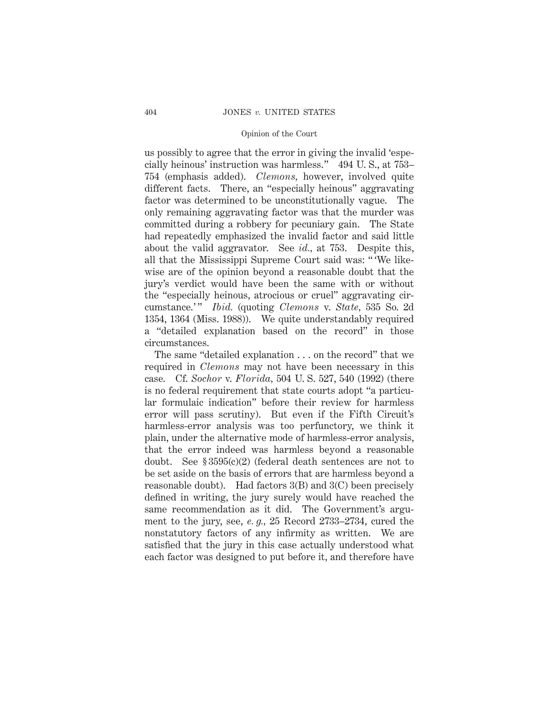us possibly to agree that the error in giving the invalid 'especially heinous' instruction was harmless." 494 U. S., at 753– 754 (emphasis added). *Clemons,* however, involved quite different facts. There, an "especially heinous" aggravating factor was determined to be unconstitutionally vague. The only remaining aggravating factor was that the murder was committed during a robbery for pecuniary gain. The State had repeatedly emphasized the invalid factor and said little about the valid aggravator. See *id.,* at 753. Despite this, all that the Mississippi Supreme Court said was: " 'We likewise are of the opinion beyond a reasonable doubt that the jury's verdict would have been the same with or without the "especially heinous, atrocious or cruel" aggravating circumstance.' " *Ibid.* (quoting *Clemons* v. *State,* 535 So. 2d 1354, 1364 (Miss. 1988)). We quite understandably required a "detailed explanation based on the record" in those circumstances.

The same "detailed explanation . . . on the record" that we required in *Clemons* may not have been necessary in this case. Cf. *Sochor* v. *Florida,* 504 U. S. 527, 540 (1992) (there is no federal requirement that state courts adopt "a particular formulaic indication" before their review for harmless error will pass scrutiny). But even if the Fifth Circuit's harmless-error analysis was too perfunctory, we think it plain, under the alternative mode of harmless-error analysis, that the error indeed was harmless beyond a reasonable doubt. See § 3595(c)(2) (federal death sentences are not to be set aside on the basis of errors that are harmless beyond a reasonable doubt). Had factors 3(B) and 3(C) been precisely defined in writing, the jury surely would have reached the same recommendation as it did. The Government's argument to the jury, see, *e. g.,* 25 Record 2733–2734, cured the nonstatutory factors of any infirmity as written. We are satisfied that the jury in this case actually understood what each factor was designed to put before it, and therefore have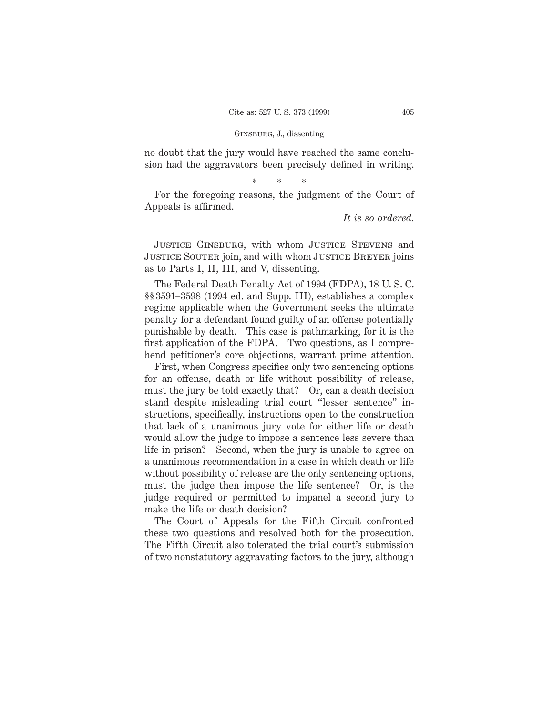no doubt that the jury would have reached the same conclusion had the aggravators been precisely defined in writing.

\*\*\*

For the foregoing reasons, the judgment of the Court of Appeals is affirmed.

*It is so ordered.*

Justice Ginsburg, with whom Justice Stevens and Justice Souter join, and with whom Justice Breyer joins as to Parts I, II, III, and V, dissenting.

The Federal Death Penalty Act of 1994 (FDPA), 18 U. S. C. §§ 3591–3598 (1994 ed. and Supp. III), establishes a complex regime applicable when the Government seeks the ultimate penalty for a defendant found guilty of an offense potentially punishable by death. This case is pathmarking, for it is the first application of the FDPA. Two questions, as I comprehend petitioner's core objections, warrant prime attention.

First, when Congress specifies only two sentencing options for an offense, death or life without possibility of release, must the jury be told exactly that? Or, can a death decision stand despite misleading trial court "lesser sentence" instructions, specifically, instructions open to the construction that lack of a unanimous jury vote for either life or death would allow the judge to impose a sentence less severe than life in prison? Second, when the jury is unable to agree on a unanimous recommendation in a case in which death or life without possibility of release are the only sentencing options. must the judge then impose the life sentence? Or, is the judge required or permitted to impanel a second jury to make the life or death decision?

The Court of Appeals for the Fifth Circuit confronted these two questions and resolved both for the prosecution. The Fifth Circuit also tolerated the trial court's submission of two nonstatutory aggravating factors to the jury, although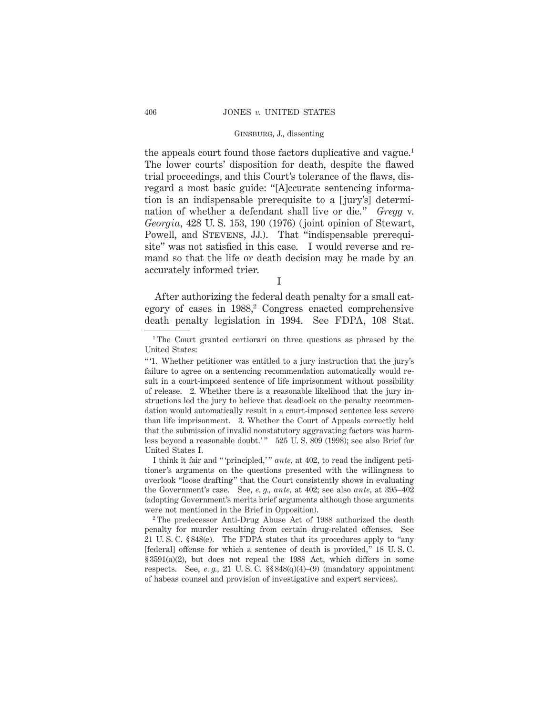the appeals court found those factors duplicative and vague.1 The lower courts' disposition for death, despite the flawed trial proceedings, and this Court's tolerance of the flaws, disregard a most basic guide: "[A]ccurate sentencing information is an indispensable prerequisite to a [jury's] determination of whether a defendant shall live or die." *Gregg* v. *Georgia,* 428 U. S. 153, 190 (1976) (joint opinion of Stewart, Powell, and STEVENS, J.J.. That "indispensable prerequisite" was not satisfied in this case. I would reverse and remand so that the life or death decision may be made by an accurately informed trier.

I

After authorizing the federal death penalty for a small category of cases in  $1988$ <sup>2</sup> Congress enacted comprehensive death penalty legislation in 1994. See FDPA, 108 Stat.

I think it fair and " 'principled,' " *ante,* at 402, to read the indigent petitioner's arguments on the questions presented with the willingness to overlook "loose drafting" that the Court consistently shows in evaluating the Government's case. See, *e. g., ante,* at 402; see also *ante,* at 395–402 (adopting Government's merits brief arguments although those arguments were not mentioned in the Brief in Opposition).

<sup>2</sup> The predecessor Anti-Drug Abuse Act of 1988 authorized the death penalty for murder resulting from certain drug-related offenses. See 21 U. S. C. § 848(e). The FDPA states that its procedures apply to "any [federal] offense for which a sentence of death is provided," 18 U. S. C. § 3591(a)(2), but does not repeal the 1988 Act, which differs in some respects. See, *e. g.,* 21 U. S. C. §§ 848(q)(4)–(9) (mandatory appointment of habeas counsel and provision of investigative and expert services).

<sup>1</sup> The Court granted certiorari on three questions as phrased by the United States:

<sup>&</sup>quot; '1. Whether petitioner was entitled to a jury instruction that the jury's failure to agree on a sentencing recommendation automatically would result in a court-imposed sentence of life imprisonment without possibility of release. 2. Whether there is a reasonable likelihood that the jury instructions led the jury to believe that deadlock on the penalty recommendation would automatically result in a court-imposed sentence less severe than life imprisonment. 3. Whether the Court of Appeals correctly held that the submission of invalid nonstatutory aggravating factors was harmless beyond a reasonable doubt.'" 525 U.S. 809 (1998); see also Brief for United States I.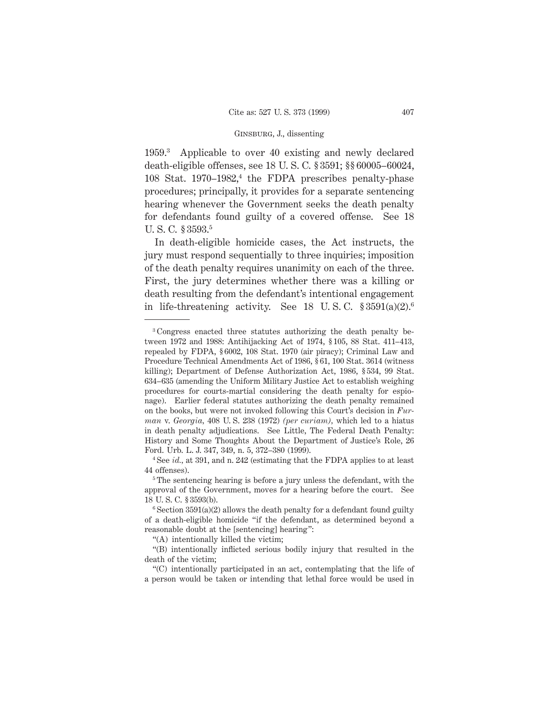1959.3 Applicable to over 40 existing and newly declared death-eligible offenses, see 18 U. S. C. § 3591; §§ 60005–60024, 108 Stat.  $1970-1982$ <sup>4</sup> the FDPA prescribes penalty-phase procedures; principally, it provides for a separate sentencing hearing whenever the Government seeks the death penalty for defendants found guilty of a covered offense. See 18 U. S. C. § 3593.5

In death-eligible homicide cases, the Act instructs, the jury must respond sequentially to three inquiries; imposition of the death penalty requires unanimity on each of the three. First, the jury determines whether there was a killing or death resulting from the defendant's intentional engagement in life-threatening activity. See 18 U.S.C.  $$3591(a)(2).^6$ 

<sup>3</sup> Congress enacted three statutes authorizing the death penalty between 1972 and 1988: Antihijacking Act of 1974, § 105, 88 Stat. 411–413, repealed by FDPA, § 6002, 108 Stat. 1970 (air piracy); Criminal Law and Procedure Technical Amendments Act of 1986, § 61, 100 Stat. 3614 (witness killing); Department of Defense Authorization Act, 1986, § 534, 99 Stat. 634–635 (amending the Uniform Military Justice Act to establish weighing procedures for courts-martial considering the death penalty for espionage). Earlier federal statutes authorizing the death penalty remained on the books, but were not invoked following this Court's decision in *Furman* v. *Georgia,* 408 U. S. 238 (1972) *(per curiam),* which led to a hiatus in death penalty adjudications. See Little, The Federal Death Penalty: History and Some Thoughts About the Department of Justice's Role, 26 Ford. Urb. L. J. 347, 349, n. 5, 372–380 (1999).

<sup>4</sup> See *id.,* at 391, and n. 242 (estimating that the FDPA applies to at least 44 offenses).

<sup>&</sup>lt;sup>5</sup>The sentencing hearing is before a jury unless the defendant, with the approval of the Government, moves for a hearing before the court. See 18 U. S. C. § 3593(b).

 $6$  Section 3591(a)(2) allows the death penalty for a defendant found guilty of a death-eligible homicide "if the defendant, as determined beyond a reasonable doubt at the [sentencing] hearing":

<sup>&</sup>quot;(A) intentionally killed the victim;

<sup>&</sup>quot;(B) intentionally inflicted serious bodily injury that resulted in the death of the victim;

<sup>&</sup>quot;(C) intentionally participated in an act, contemplating that the life of a person would be taken or intending that lethal force would be used in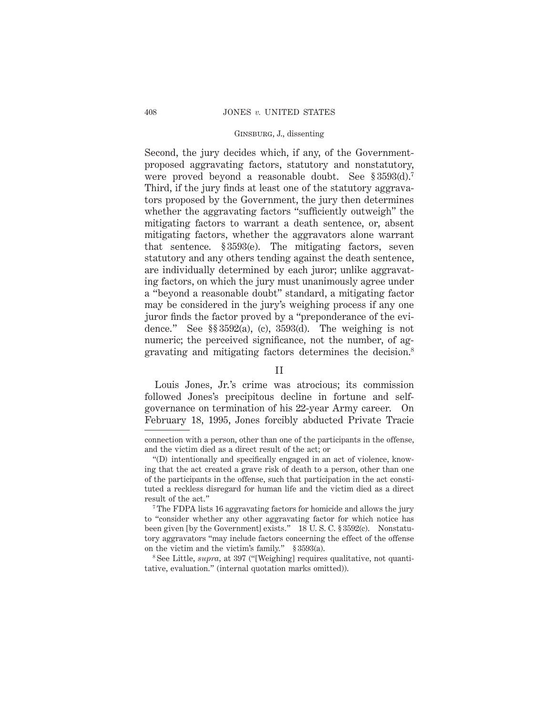Second, the jury decides which, if any, of the Governmentproposed aggravating factors, statutory and nonstatutory, were proved beyond a reasonable doubt. See § 3593(d).7 Third, if the jury finds at least one of the statutory aggravators proposed by the Government, the jury then determines whether the aggravating factors "sufficiently outweigh" the mitigating factors to warrant a death sentence, or, absent mitigating factors, whether the aggravators alone warrant that sentence. § 3593(e). The mitigating factors, seven statutory and any others tending against the death sentence, are individually determined by each juror; unlike aggravating factors, on which the jury must unanimously agree under a "beyond a reasonable doubt" standard, a mitigating factor may be considered in the jury's weighing process if any one juror finds the factor proved by a "preponderance of the evidence." See  $\S$ § 3592(a), (c), 3593(d). The weighing is not numeric; the perceived significance, not the number, of aggravating and mitigating factors determines the decision.8

### II

Louis Jones, Jr.'s crime was atrocious; its commission followed Jones's precipitous decline in fortune and selfgovernance on termination of his 22-year Army career. On February 18, 1995, Jones forcibly abducted Private Tracie

<sup>8</sup> See Little, *supra,* at 397 ("[Weighing] requires qualitative, not quantitative, evaluation." (internal quotation marks omitted)).

connection with a person, other than one of the participants in the offense, and the victim died as a direct result of the act; or

<sup>&</sup>quot;(D) intentionally and specifically engaged in an act of violence, knowing that the act created a grave risk of death to a person, other than one of the participants in the offense, such that participation in the act constituted a reckless disregard for human life and the victim died as a direct result of the act."

<sup>7</sup> The FDPA lists 16 aggravating factors for homicide and allows the jury to "consider whether any other aggravating factor for which notice has been given [by the Government] exists." 18 U. S. C. § 3592(c). Nonstatutory aggravators "may include factors concerning the effect of the offense on the victim and the victim's family." § 3593(a).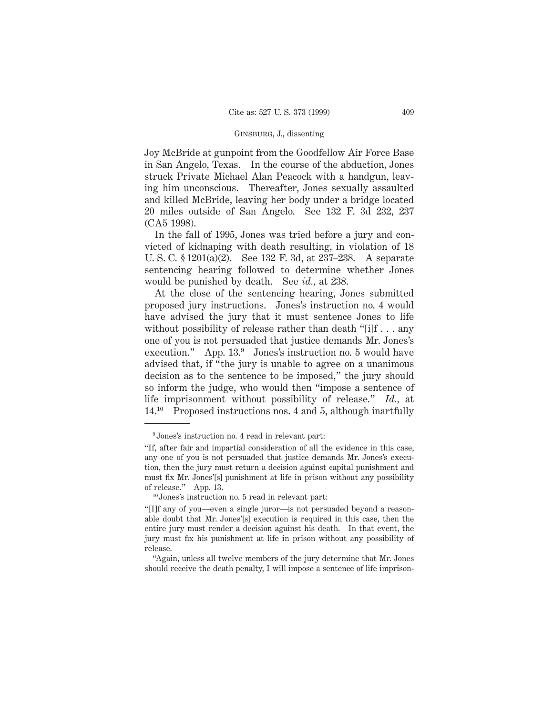Joy McBride at gunpoint from the Goodfellow Air Force Base in San Angelo, Texas. In the course of the abduction, Jones struck Private Michael Alan Peacock with a handgun, leaving him unconscious. Thereafter, Jones sexually assaulted and killed McBride, leaving her body under a bridge located 20 miles outside of San Angelo. See 132 F. 3d 232, 237 (CA5 1998).

In the fall of 1995, Jones was tried before a jury and convicted of kidnaping with death resulting, in violation of 18 U. S. C. § 1201(a)(2). See 132 F. 3d, at 237–238. A separate sentencing hearing followed to determine whether Jones would be punished by death. See *id.,* at 238.

At the close of the sentencing hearing, Jones submitted proposed jury instructions. Jones's instruction no. 4 would have advised the jury that it must sentence Jones to life without possibility of release rather than death "[i]f . . . any one of you is not persuaded that justice demands Mr. Jones's execution." App. 13.9 Jones's instruction no. 5 would have advised that, if "the jury is unable to agree on a unanimous decision as to the sentence to be imposed," the jury should so inform the judge, who would then "impose a sentence of life imprisonment without possibility of release." *Id.,* at 14.10 Proposed instructions nos. 4 and 5, although inartfully

<sup>9</sup> Jones's instruction no. 4 read in relevant part:

<sup>&</sup>quot;If, after fair and impartial consideration of all the evidence in this case, any one of you is not persuaded that justice demands Mr. Jones's execution, then the jury must return a decision against capital punishment and must fix Mr. Jones'[s] punishment at life in prison without any possibility of release." App. 13.

<sup>10</sup> Jones's instruction no. 5 read in relevant part:

<sup>&</sup>quot;[I]f any of you—even a single juror—is not persuaded beyond a reasonable doubt that Mr. Jones'[s] execution is required in this case, then the entire jury must render a decision against his death. In that event, the jury must fix his punishment at life in prison without any possibility of release.

<sup>&</sup>quot;Again, unless all twelve members of the jury determine that Mr. Jones should receive the death penalty, I will impose a sentence of life imprison-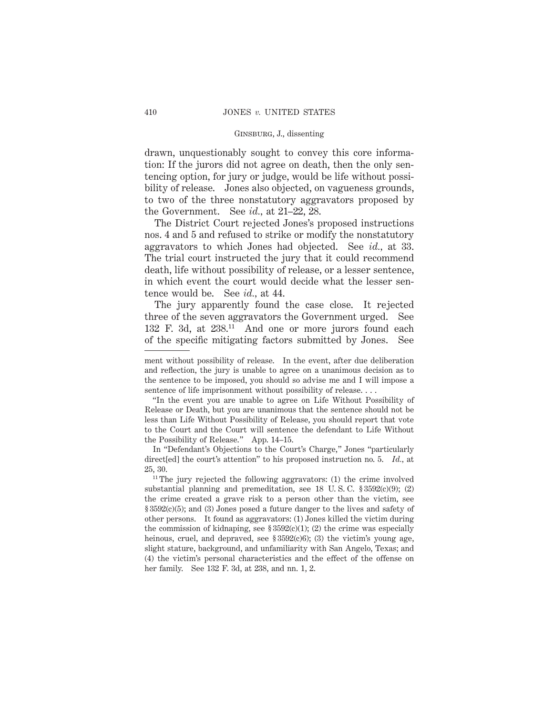drawn, unquestionably sought to convey this core information: If the jurors did not agree on death, then the only sentencing option, for jury or judge, would be life without possibility of release. Jones also objected, on vagueness grounds, to two of the three nonstatutory aggravators proposed by the Government. See *id.,* at 21–22, 28.

The District Court rejected Jones's proposed instructions nos. 4 and 5 and refused to strike or modify the nonstatutory aggravators to which Jones had objected. See *id.,* at 33. The trial court instructed the jury that it could recommend death, life without possibility of release, or a lesser sentence, in which event the court would decide what the lesser sentence would be. See *id.,* at 44.

The jury apparently found the case close. It rejected three of the seven aggravators the Government urged. See 132 F. 3d, at  $238$ <sup>11</sup> And one or more jurors found each of the specific mitigating factors submitted by Jones. See

In "Defendant's Objections to the Court's Charge," Jones "particularly direct[ed] the court's attention" to his proposed instruction no. 5. *Id.,* at 25, 30.

ment without possibility of release. In the event, after due deliberation and reflection, the jury is unable to agree on a unanimous decision as to the sentence to be imposed, you should so advise me and I will impose a sentence of life imprisonment without possibility of release....

<sup>&</sup>quot;In the event you are unable to agree on Life Without Possibility of Release or Death, but you are unanimous that the sentence should not be less than Life Without Possibility of Release, you should report that vote to the Court and the Court will sentence the defendant to Life Without the Possibility of Release." App. 14–15.

<sup>&</sup>lt;sup>11</sup> The jury rejected the following aggravators: (1) the crime involved substantial planning and premeditation, see 18 U.S.C.  $\S 3592(c)(9);$  (2) the crime created a grave risk to a person other than the victim, see § 3592(c)(5); and (3) Jones posed a future danger to the lives and safety of other persons. It found as aggravators: (1) Jones killed the victim during the commission of kidnaping, see  $\S 3592(c)(1)$ ; (2) the crime was especially heinous, cruel, and depraved, see  $\S 3592(c)6$ ; (3) the victim's young age, slight stature, background, and unfamiliarity with San Angelo, Texas; and (4) the victim's personal characteristics and the effect of the offense on her family. See 132 F. 3d, at 238, and nn. 1, 2.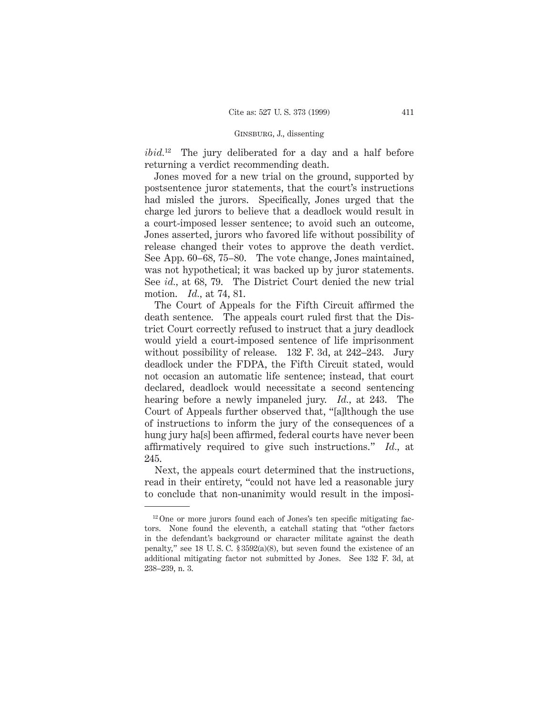*ibid.*<sup>12</sup> The jury deliberated for a day and a half before returning a verdict recommending death.

Jones moved for a new trial on the ground, supported by postsentence juror statements, that the court's instructions had misled the jurors. Specifically, Jones urged that the charge led jurors to believe that a deadlock would result in a court-imposed lesser sentence; to avoid such an outcome, Jones asserted, jurors who favored life without possibility of release changed their votes to approve the death verdict. See App. 60–68, 75–80. The vote change, Jones maintained, was not hypothetical; it was backed up by juror statements. See *id.,* at 68, 79. The District Court denied the new trial motion. *Id.,* at 74, 81.

The Court of Appeals for the Fifth Circuit affirmed the death sentence. The appeals court ruled first that the District Court correctly refused to instruct that a jury deadlock would yield a court-imposed sentence of life imprisonment without possibility of release. 132 F. 3d, at 242–243. Jury deadlock under the FDPA, the Fifth Circuit stated, would not occasion an automatic life sentence; instead, that court declared, deadlock would necessitate a second sentencing hearing before a newly impaneled jury. *Id.,* at 243. The Court of Appeals further observed that, "[a]lthough the use of instructions to inform the jury of the consequences of a hung jury ha[s] been affirmed, federal courts have never been affirmatively required to give such instructions." *Id.,* at 245.

Next, the appeals court determined that the instructions, read in their entirety, "could not have led a reasonable jury to conclude that non-unanimity would result in the imposi-

<sup>&</sup>lt;sup>12</sup> One or more jurors found each of Jones's ten specific mitigating factors. None found the eleventh, a catchall stating that "other factors in the defendant's background or character militate against the death penalty," see 18 U.S.C.  $\S 3592(a)(8)$ , but seven found the existence of an additional mitigating factor not submitted by Jones. See 132 F. 3d, at 238–239, n. 3.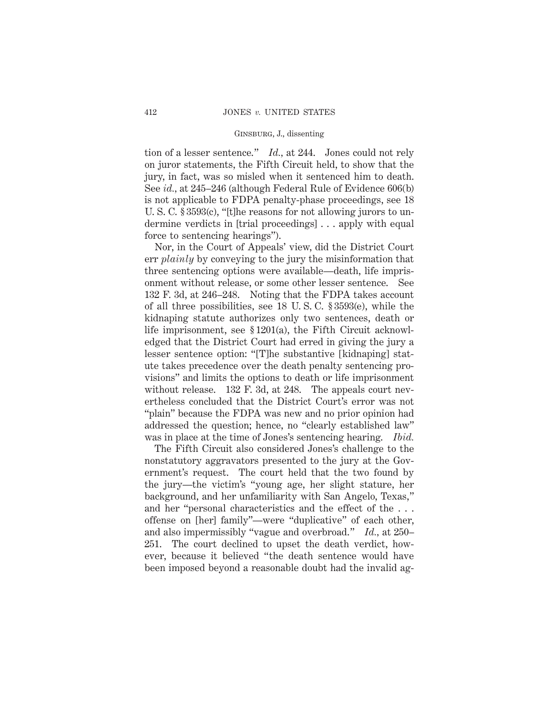tion of a lesser sentence." *Id.,* at 244. Jones could not rely on juror statements, the Fifth Circuit held, to show that the jury, in fact, was so misled when it sentenced him to death. See *id.,* at 245–246 (although Federal Rule of Evidence 606(b) is not applicable to FDPA penalty-phase proceedings, see 18 U. S. C. § 3593(c), "[t]he reasons for not allowing jurors to undermine verdicts in [trial proceedings] . . . apply with equal force to sentencing hearings").

Nor, in the Court of Appeals' view, did the District Court err *plainly* by conveying to the jury the misinformation that three sentencing options were available—death, life imprisonment without release, or some other lesser sentence. See 132 F. 3d, at 246–248. Noting that the FDPA takes account of all three possibilities, see 18 U. S. C. § 3593(e), while the kidnaping statute authorizes only two sentences, death or life imprisonment, see § 1201(a), the Fifth Circuit acknowledged that the District Court had erred in giving the jury a lesser sentence option: "[T]he substantive [kidnaping] statute takes precedence over the death penalty sentencing provisions" and limits the options to death or life imprisonment without release. 132 F. 3d, at 248. The appeals court nevertheless concluded that the District Court's error was not "plain" because the FDPA was new and no prior opinion had addressed the question; hence, no "clearly established law" was in place at the time of Jones's sentencing hearing. *Ibid.*

The Fifth Circuit also considered Jones's challenge to the nonstatutory aggravators presented to the jury at the Government's request. The court held that the two found by the jury—the victim's "young age, her slight stature, her background, and her unfamiliarity with San Angelo, Texas," and her "personal characteristics and the effect of the . . . offense on [her] family"—were "duplicative" of each other, and also impermissibly "vague and overbroad." *Id.,* at 250– 251. The court declined to upset the death verdict, however, because it believed "the death sentence would have been imposed beyond a reasonable doubt had the invalid ag-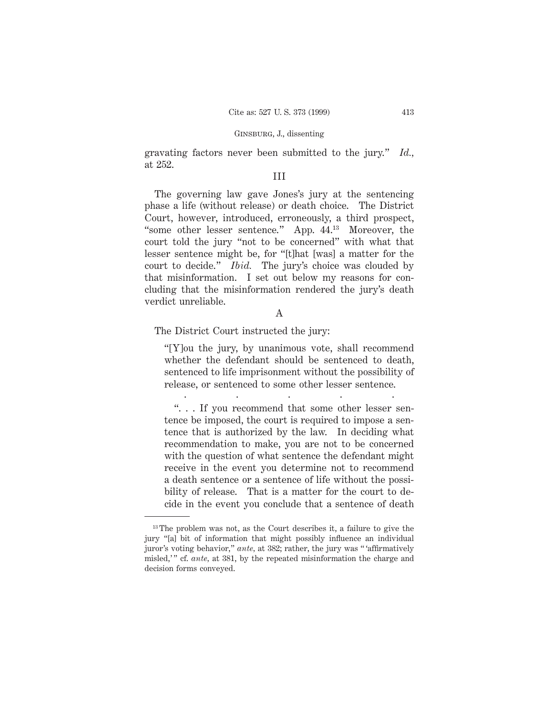gravating factors never been submitted to the jury." *Id.,* at 252.

## III

The governing law gave Jones's jury at the sentencing phase a life (without release) or death choice. The District Court, however, introduced, erroneously, a third prospect, "some other lesser sentence." App. 44.13 Moreover, the court told the jury "not to be concerned" with what that lesser sentence might be, for "[t]hat [was] a matter for the court to decide." *Ibid.* The jury's choice was clouded by that misinformation. I set out below my reasons for concluding that the misinformation rendered the jury's death verdict unreliable.

A

The District Court instructed the jury:

"[Y]ou the jury, by unanimous vote, shall recommend whether the defendant should be sentenced to death, sentenced to life imprisonment without the possibility of release, or sentenced to some other lesser sentence.

.....

". . . If you recommend that some other lesser sentence be imposed, the court is required to impose a sentence that is authorized by the law. In deciding what recommendation to make, you are not to be concerned with the question of what sentence the defendant might receive in the event you determine not to recommend a death sentence or a sentence of life without the possibility of release. That is a matter for the court to decide in the event you conclude that a sentence of death

<sup>&</sup>lt;sup>13</sup> The problem was not, as the Court describes it, a failure to give the jury "[a] bit of information that might possibly influence an individual juror's voting behavior," *ante,* at 382; rather, the jury was " 'affirmatively misled," cf. ante, at 381, by the repeated misinformation the charge and decision forms conveyed.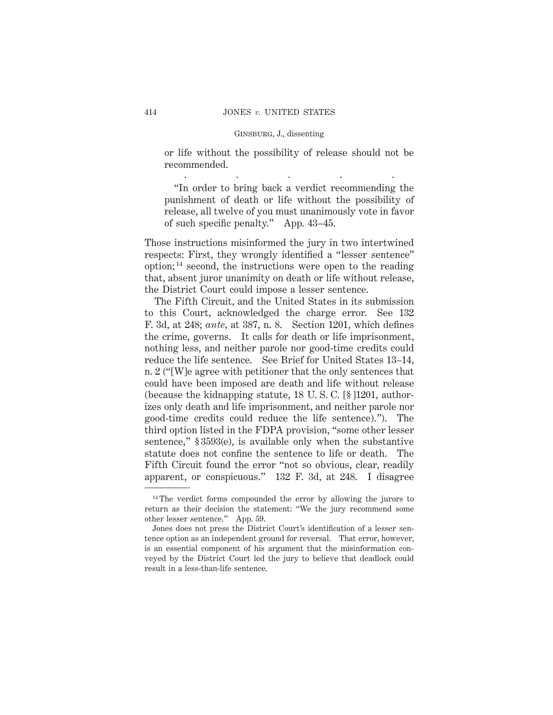or life without the possibility of release should not be recommended. .....

"In order to bring back a verdict recommending the punishment of death or life without the possibility of release, all twelve of you must unanimously vote in favor of such specific penalty." App. 43–45.

Those instructions misinformed the jury in two intertwined respects: First, they wrongly identified a "lesser sentence" option; <sup>14</sup> second, the instructions were open to the reading that, absent juror unanimity on death or life without release, the District Court could impose a lesser sentence.

The Fifth Circuit, and the United States in its submission to this Court, acknowledged the charge error. See 132 F. 3d, at 248; *ante,* at 387, n. 8. Section 1201, which defines the crime, governs. It calls for death or life imprisonment, nothing less, and neither parole nor good-time credits could reduce the life sentence. See Brief for United States 13–14, n. 2 ("[W]e agree with petitioner that the only sentences that could have been imposed are death and life without release (because the kidnapping statute, 18 U. S. C. [§ ]1201, authorizes only death and life imprisonment, and neither parole nor good-time credits could reduce the life sentence)."). The third option listed in the FDPA provision, "some other lesser sentence," § 3593(e), is available only when the substantive statute does not confine the sentence to life or death. The Fifth Circuit found the error "not so obvious, clear, readily apparent, or conspicuous." 132 F. 3d, at 248. I disagree

<sup>&</sup>lt;sup>14</sup> The verdict forms compounded the error by allowing the jurors to return as their decision the statement: "We the jury recommend some other lesser sentence." App. 59.

Jones does not press the District Court's identification of a lesser sentence option as an independent ground for reversal. That error, however, is an essential component of his argument that the misinformation conveyed by the District Court led the jury to believe that deadlock could result in a less-than-life sentence.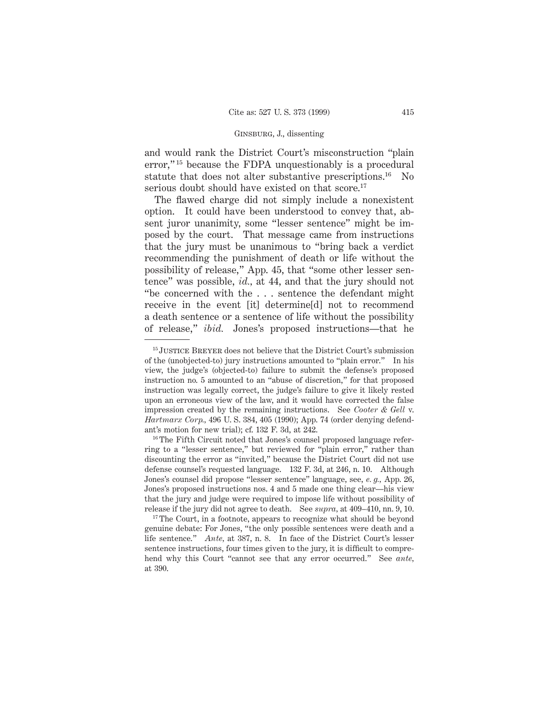and would rank the District Court's misconstruction "plain error," <sup>15</sup> because the FDPA unquestionably is a procedural statute that does not alter substantive prescriptions.<sup>16</sup> No serious doubt should have existed on that score.<sup>17</sup>

The flawed charge did not simply include a nonexistent option. It could have been understood to convey that, absent juror unanimity, some "lesser sentence" might be imposed by the court. That message came from instructions that the jury must be unanimous to "bring back a verdict recommending the punishment of death or life without the possibility of release," App. 45, that "some other lesser sentence" was possible, *id.,* at 44, and that the jury should not "be concerned with the . . . sentence the defendant might receive in the event [it] determine[d] not to recommend a death sentence or a sentence of life without the possibility of release," *ibid.* Jones's proposed instructions—that he

<sup>&</sup>lt;sup>15</sup> JUSTICE BREYER does not believe that the District Court's submission of the (unobjected-to) jury instructions amounted to "plain error." In his view, the judge's (objected-to) failure to submit the defense's proposed instruction no. 5 amounted to an "abuse of discretion," for that proposed instruction was legally correct, the judge's failure to give it likely rested upon an erroneous view of the law, and it would have corrected the false impression created by the remaining instructions. See *Cooter & Gell* v. *Hartmarx Corp.,* 496 U. S. 384, 405 (1990); App. 74 (order denying defendant's motion for new trial); cf. 132 F. 3d, at 242.

<sup>&</sup>lt;sup>16</sup> The Fifth Circuit noted that Jones's counsel proposed language referring to a "lesser sentence," but reviewed for "plain error," rather than discounting the error as "invited," because the District Court did not use defense counsel's requested language. 132 F. 3d, at 246, n. 10. Although Jones's counsel did propose "lesser sentence" language, see, *e. g.,* App. 26, Jones's proposed instructions nos. 4 and 5 made one thing clear—his view that the jury and judge were required to impose life without possibility of release if the jury did not agree to death. See *supra,* at 409–410, nn. 9, 10.

<sup>&</sup>lt;sup>17</sup> The Court, in a footnote, appears to recognize what should be beyond genuine debate: For Jones, "the only possible sentences were death and a life sentence." *Ante,* at 387, n. 8. In face of the District Court's lesser sentence instructions, four times given to the jury, it is difficult to comprehend why this Court "cannot see that any error occurred." See *ante,* at 390.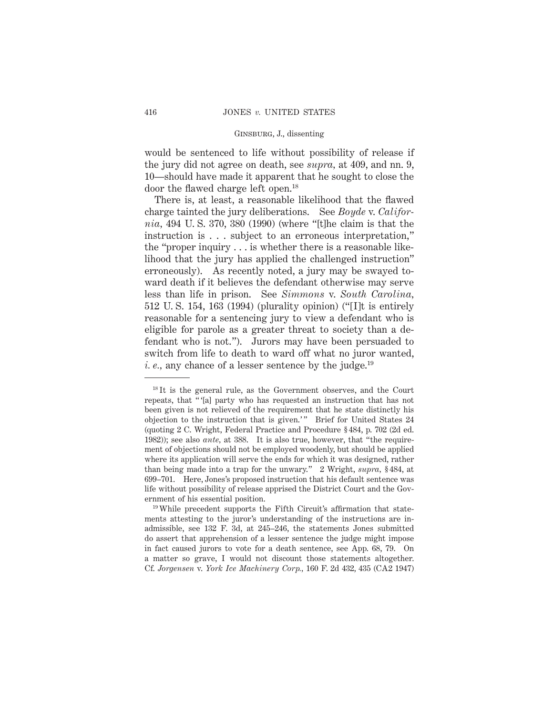would be sentenced to life without possibility of release if the jury did not agree on death, see *supra,* at 409, and nn. 9, 10—should have made it apparent that he sought to close the door the flawed charge left open.18

There is, at least, a reasonable likelihood that the flawed charge tainted the jury deliberations. See *Boyde* v. *California,* 494 U. S. 370, 380 (1990) (where "[t]he claim is that the instruction is . . . subject to an erroneous interpretation," the "proper inquiry . . . is whether there is a reasonable likelihood that the jury has applied the challenged instruction" erroneously). As recently noted, a jury may be swayed toward death if it believes the defendant otherwise may serve less than life in prison. See *Simmons* v. *South Carolina,* 512 U. S. 154, 163 (1994) (plurality opinion) ("[I]t is entirely reasonable for a sentencing jury to view a defendant who is eligible for parole as a greater threat to society than a defendant who is not."). Jurors may have been persuaded to switch from life to death to ward off what no juror wanted, *i. e.*, any chance of a lesser sentence by the judge.<sup>19</sup>

 $18$  It is the general rule, as the Government observes, and the Court repeats, that " '[a] party who has requested an instruction that has not been given is not relieved of the requirement that he state distinctly his objection to the instruction that is given.'" Brief for United States 24 (quoting 2 C. Wright, Federal Practice and Procedure § 484, p. 702 (2d ed. 1982)); see also *ante,* at 388. It is also true, however, that "the requirement of objections should not be employed woodenly, but should be applied where its application will serve the ends for which it was designed, rather than being made into a trap for the unwary." 2 Wright, *supra,* § 484, at 699–701. Here, Jones's proposed instruction that his default sentence was life without possibility of release apprised the District Court and the Government of his essential position.

<sup>19</sup> While precedent supports the Fifth Circuit's affirmation that statements attesting to the juror's understanding of the instructions are inadmissible, see 132 F. 3d, at 245–246, the statements Jones submitted do assert that apprehension of a lesser sentence the judge might impose in fact caused jurors to vote for a death sentence, see App. 68, 79. On a matter so grave, I would not discount those statements altogether. Cf. *Jorgensen* v. *York Ice Machinery Corp.,* 160 F. 2d 432, 435 (CA2 1947)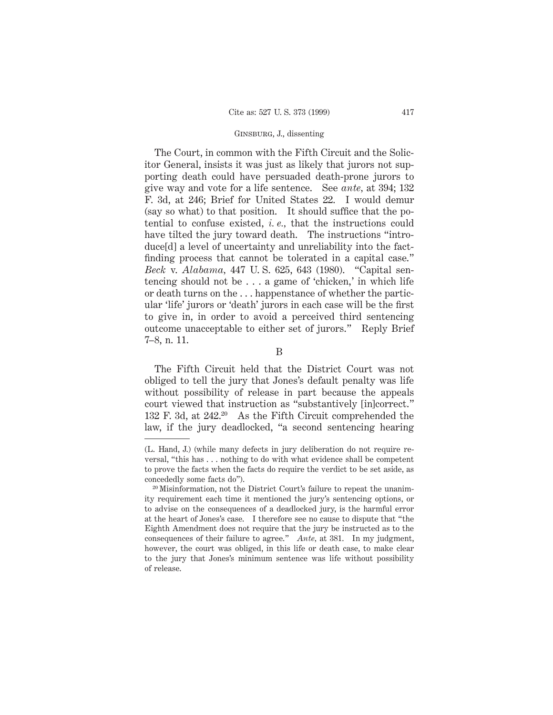The Court, in common with the Fifth Circuit and the Solicitor General, insists it was just as likely that jurors not supporting death could have persuaded death-prone jurors to give way and vote for a life sentence. See *ante,* at 394; 132 F. 3d, at 246; Brief for United States 22. I would demur (say so what) to that position. It should suffice that the potential to confuse existed, *i. e.,* that the instructions could have tilted the jury toward death. The instructions "introduce[d] a level of uncertainty and unreliability into the factfinding process that cannot be tolerated in a capital case." *Beck* v. *Alabama,* 447 U. S. 625, 643 (1980). "Capital sentencing should not be . . . a game of 'chicken,' in which life or death turns on the . . . happenstance of whether the particular 'life' jurors or 'death' jurors in each case will be the first to give in, in order to avoid a perceived third sentencing outcome unacceptable to either set of jurors." Reply Brief 7–8, n. 11.

B

The Fifth Circuit held that the District Court was not obliged to tell the jury that Jones's default penalty was life without possibility of release in part because the appeals court viewed that instruction as "substantively [in]correct." 132 F. 3d, at 242.20 As the Fifth Circuit comprehended the law, if the jury deadlocked, "a second sentencing hearing

<sup>(</sup>L. Hand, J.) (while many defects in jury deliberation do not require reversal, "this has... nothing to do with what evidence shall be competent to prove the facts when the facts do require the verdict to be set aside, as concededly some facts do").

<sup>&</sup>lt;sup>20</sup> Misinformation, not the District Court's failure to repeat the unanimity requirement each time it mentioned the jury's sentencing options, or to advise on the consequences of a deadlocked jury, is the harmful error at the heart of Jones's case. I therefore see no cause to dispute that "the Eighth Amendment does not require that the jury be instructed as to the consequences of their failure to agree." *Ante,* at 381. In my judgment, however, the court was obliged, in this life or death case, to make clear to the jury that Jones's minimum sentence was life without possibility of release.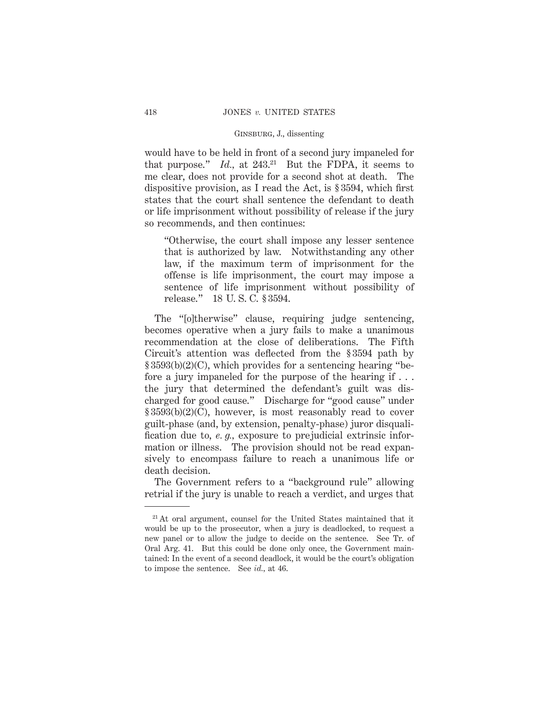would have to be held in front of a second jury impaneled for that purpose." *Id.*, at 243.<sup>21</sup> But the FDPA, it seems to me clear, does not provide for a second shot at death. The dispositive provision, as I read the Act, is § 3594, which first states that the court shall sentence the defendant to death or life imprisonment without possibility of release if the jury so recommends, and then continues:

"Otherwise, the court shall impose any lesser sentence that is authorized by law. Notwithstanding any other law, if the maximum term of imprisonment for the offense is life imprisonment, the court may impose a sentence of life imprisonment without possibility of release." 18 U. S. C. § 3594.

The "[o]therwise" clause, requiring judge sentencing, becomes operative when a jury fails to make a unanimous recommendation at the close of deliberations. The Fifth Circuit's attention was deflected from the § 3594 path by § 3593(b)(2)(C), which provides for a sentencing hearing "before a jury impaneled for the purpose of the hearing if . . . the jury that determined the defendant's guilt was discharged for good cause." Discharge for "good cause" under § 3593(b)(2)(C), however, is most reasonably read to cover guilt-phase (and, by extension, penalty-phase) juror disqualification due to, *e. g.,* exposure to prejudicial extrinsic information or illness. The provision should not be read expansively to encompass failure to reach a unanimous life or death decision.

The Government refers to a "background rule" allowing retrial if the jury is unable to reach a verdict, and urges that

 $21$  At oral argument, counsel for the United States maintained that it would be up to the prosecutor, when a jury is deadlocked, to request a new panel or to allow the judge to decide on the sentence. See Tr. of Oral Arg. 41. But this could be done only once, the Government maintained: In the event of a second deadlock, it would be the court's obligation to impose the sentence. See *id.,* at 46.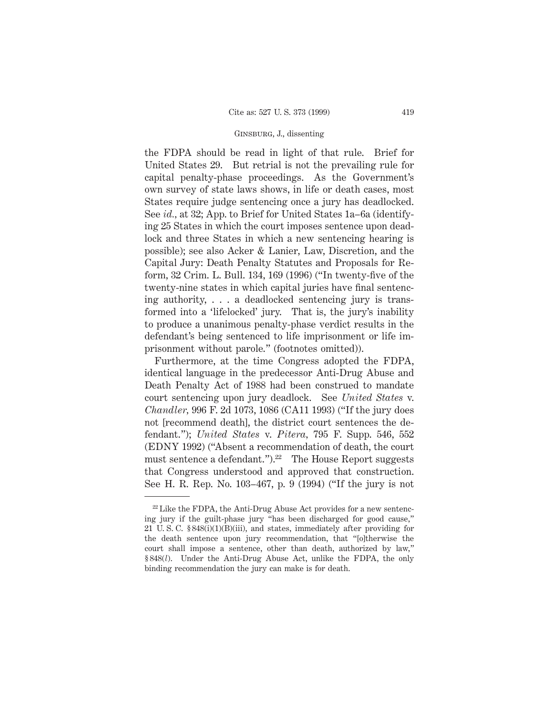the FDPA should be read in light of that rule. Brief for United States 29. But retrial is not the prevailing rule for capital penalty-phase proceedings. As the Government's own survey of state laws shows, in life or death cases, most States require judge sentencing once a jury has deadlocked. See *id.,* at 32; App. to Brief for United States 1a–6a (identifying 25 States in which the court imposes sentence upon deadlock and three States in which a new sentencing hearing is possible); see also Acker & Lanier, Law, Discretion, and the Capital Jury: Death Penalty Statutes and Proposals for Reform, 32 Crim. L. Bull. 134, 169 (1996) ("In twenty-five of the twenty-nine states in which capital juries have final sentencing authority, . . . a deadlocked sentencing jury is transformed into a 'lifelocked' jury. That is, the jury's inability to produce a unanimous penalty-phase verdict results in the defendant's being sentenced to life imprisonment or life imprisonment without parole." (footnotes omitted)).

Furthermore, at the time Congress adopted the FDPA, identical language in the predecessor Anti-Drug Abuse and Death Penalty Act of 1988 had been construed to mandate court sentencing upon jury deadlock. See *United States* v. *Chandler,* 996 F. 2d 1073, 1086 (CA11 1993) ("If the jury does not [recommend death], the district court sentences the defendant."); *United States* v. *Pitera,* 795 F. Supp. 546, 552 (EDNY 1992) ("Absent a recommendation of death, the court must sentence a defendant.").<sup>22</sup> The House Report suggests that Congress understood and approved that construction. See H. R. Rep. No. 103–467, p. 9 (1994) ("If the jury is not

 $22$  Like the FDPA, the Anti-Drug Abuse Act provides for a new sentencing jury if the guilt-phase jury "has been discharged for good cause," 21 U. S. C. § 848(i)(1)(B)(iii), and states, immediately after providing for the death sentence upon jury recommendation, that "[o]therwise the court shall impose a sentence, other than death, authorized by law," § 848(*l*). Under the Anti-Drug Abuse Act, unlike the FDPA, the only binding recommendation the jury can make is for death.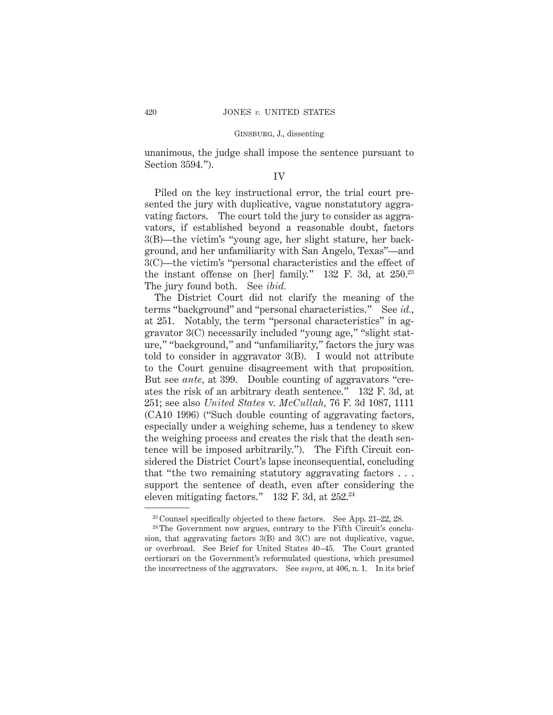unanimous, the judge shall impose the sentence pursuant to Section 3594.").

# IV

Piled on the key instructional error, the trial court presented the jury with duplicative, vague nonstatutory aggravating factors. The court told the jury to consider as aggravators, if established beyond a reasonable doubt, factors 3(B)—the victim's "young age, her slight stature, her background, and her unfamiliarity with San Angelo, Texas"—and 3(C)—the victim's "personal characteristics and the effect of the instant offense on [her] family." 132 F. 3d, at 250.23 The jury found both. See *ibid.*

The District Court did not clarify the meaning of the terms "background" and "personal characteristics." See *id.,* at 251. Notably, the term "personal characteristics" in aggravator 3(C) necessarily included "young age," "slight stature," "background," and "unfamiliarity," factors the jury was told to consider in aggravator 3(B). I would not attribute to the Court genuine disagreement with that proposition. But see *ante,* at 399. Double counting of aggravators "creates the risk of an arbitrary death sentence." 132 F. 3d, at 251; see also *United States* v. *McCullah,* 76 F. 3d 1087, 1111 (CA10 1996) ("Such double counting of aggravating factors, especially under a weighing scheme, has a tendency to skew the weighing process and creates the risk that the death sentence will be imposed arbitrarily."). The Fifth Circuit considered the District Court's lapse inconsequential, concluding that "the two remaining statutory aggravating factors . . . support the sentence of death, even after considering the eleven mitigating factors." 132 F. 3d, at 252.24

 $23$  Counsel specifically objected to these factors. See App. 21–22, 28.

<sup>&</sup>lt;sup>24</sup> The Government now argues, contrary to the Fifth Circuit's conclusion, that aggravating factors 3(B) and 3(C) are not duplicative, vague, or overbroad. See Brief for United States 40–45. The Court granted certiorari on the Government's reformulated questions, which presumed the incorrectness of the aggravators. See *supra,* at 406, n. 1. In its brief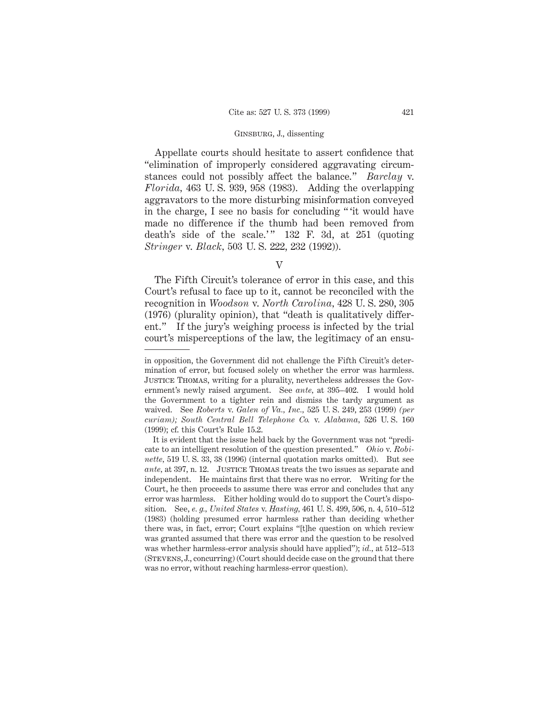Appellate courts should hesitate to assert confidence that "elimination of improperly considered aggravating circumstances could not possibly affect the balance." *Barclay* v. *Florida,* 463 U. S. 939, 958 (1983). Adding the overlapping aggravators to the more disturbing misinformation conveyed in the charge, I see no basis for concluding " 'it would have made no difference if the thumb had been removed from death's side of the scale.'"  $132$  F. 3d, at  $251$  (quoting *Stringer* v. *Black,* 503 U. S. 222, 232 (1992)).

V

The Fifth Circuit's tolerance of error in this case, and this Court's refusal to face up to it, cannot be reconciled with the recognition in *Woodson* v. *North Carolina,* 428 U. S. 280, 305 (1976) (plurality opinion), that "death is qualitatively different." If the jury's weighing process is infected by the trial court's misperceptions of the law, the legitimacy of an ensu-

in opposition, the Government did not challenge the Fifth Circuit's determination of error, but focused solely on whether the error was harmless. Justice Thomas, writing for a plurality, nevertheless addresses the Government's newly raised argument. See *ante,* at 395–402. I would hold the Government to a tighter rein and dismiss the tardy argument as waived. See *Roberts* v. *Galen of Va., Inc.,* 525 U. S. 249, 253 (1999) *(per curiam); South Central Bell Telephone Co.* v. *Alabama,* 526 U. S. 160 (1999); cf. this Court's Rule 15.2.

It is evident that the issue held back by the Government was not "predicate to an intelligent resolution of the question presented." *Ohio* v. *Robinette,* 519 U. S. 33, 38 (1996) (internal quotation marks omitted). But see *ante,* at 397, n. 12. Justice Thomas treats the two issues as separate and independent. He maintains first that there was no error. Writing for the Court, he then proceeds to assume there was error and concludes that any error was harmless. Either holding would do to support the Court's disposition. See, *e. g., United States* v. *Hasting,* 461 U. S. 499, 506, n. 4, 510–512 (1983) (holding presumed error harmless rather than deciding whether there was, in fact, error; Court explains "[t]he question on which review was granted assumed that there was error and the question to be resolved was whether harmless-error analysis should have applied"); *id.,* at 512–513 (Stevens, J., concurring) (Court should decide case on the ground that there was no error, without reaching harmless-error question).